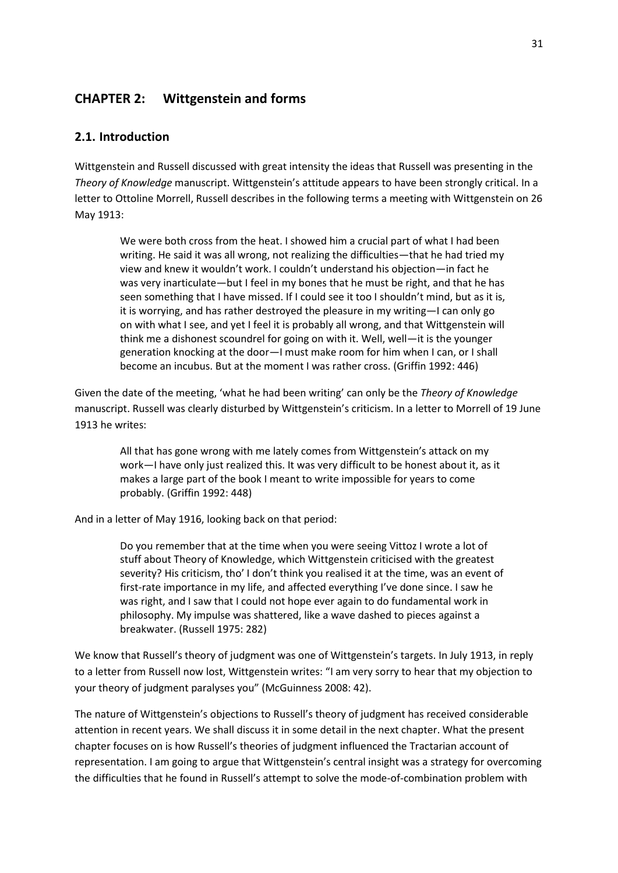# **CHAPTER 2: Wittgenstein and forms**

### **2.1. Introduction**

Wittgenstein and Russell discussed with great intensity the ideas that Russell was presenting in the *Theory of Knowledge* manuscript. Wittgenstein's attitude appears to have been strongly critical. In a letter to Ottoline Morrell, Russell describes in the following terms a meeting with Wittgenstein on 26 May 1913:

We were both cross from the heat. I showed him a crucial part of what I had been writing. He said it was all wrong, not realizing the difficulties—that he had tried my view and knew it wouldn't work. I couldn't understand his objection—in fact he was very inarticulate—but I feel in my bones that he must be right, and that he has seen something that I have missed. If I could see it too I shouldn't mind, but as it is, it is worrying, and has rather destroyed the pleasure in my writing—I can only go on with what I see, and yet I feel it is probably all wrong, and that Wittgenstein will think me a dishonest scoundrel for going on with it. Well, well—it is the younger generation knocking at the door—I must make room for him when I can, or I shall become an incubus. But at the moment I was rather cross. [\(Griffin 1992: 446\)](#page--1-0)

Given the date of the meeting, 'what he had been writing' can only be the *Theory of Knowledge*  manuscript. Russell was clearly disturbed by Wittgenstein's criticism. In a letter to Morrell of 19 June 1913 he writes:

All that has gone wrong with me lately comes from Wittgenstein's attack on my work—I have only just realized this. It was very difficult to be honest about it, as it makes a large part of the book I meant to write impossible for years to come probably. [\(Griffin 1992: 448\)](#page--1-0)

And in a letter of May 1916, looking back on that period:

Do you remember that at the time when you were seeing Vittoz I wrote a lot of stuff about Theory of Knowledge, which Wittgenstein criticised with the greatest severity? His criticism, tho' I don't think you realised it at the time, was an event of first-rate importance in my life, and affected everything I've done since. I saw he was right, and I saw that I could not hope ever again to do fundamental work in philosophy. My impulse was shattered, like a wave dashed to pieces against a breakwater. [\(Russell 1975: 282\)](#page--1-1)

We know that Russell's theory of judgment was one of Wittgenstein's targets. In July 1913, in reply to a letter from Russell now lost, Wittgenstein writes: "I am very sorry to hear that my objection to your theory of judgment paralyses you" [\(McGuinness 2008: 42\)](#page--1-2).

The nature of Wittgenstein's objections to Russell's theory of judgment has received considerable attention in recent years. We shall discuss it in some detail in the next chapter. What the present chapter focuses on is how Russell's theories of judgment influenced the Tractarian account of representation. I am going to argue that Wittgenstein's central insight was a strategy for overcoming the difficulties that he found in Russell's attempt to solve the mode-of-combination problem with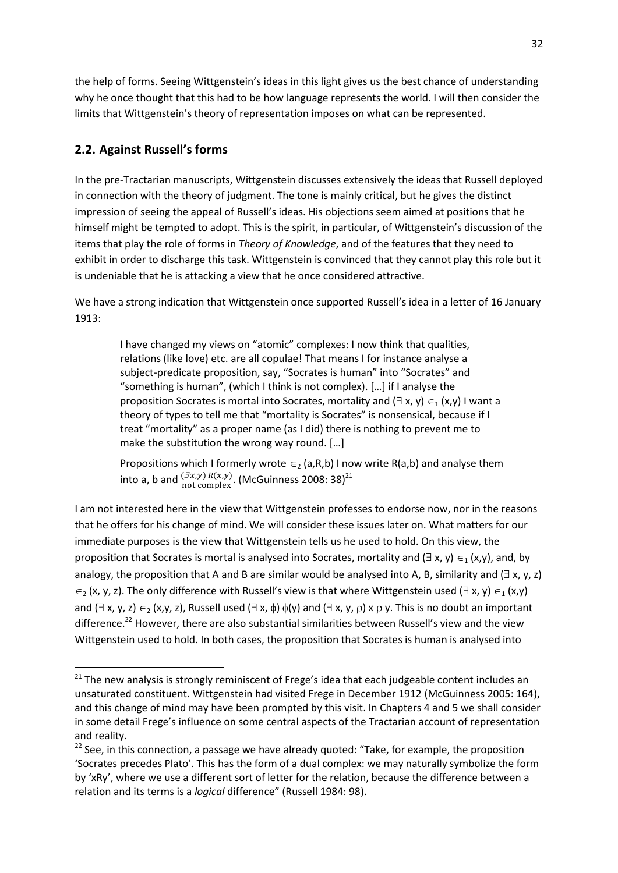the help of forms. Seeing Wittgenstein's ideas in this light gives us the best chance of understanding why he once thought that this had to be how language represents the world. I will then consider the limits that Wittgenstein's theory of representation imposes on what can be represented.

## <span id="page-1-0"></span>**2.2. Against Russell's forms**

**.** 

In the pre-Tractarian manuscripts, Wittgenstein discusses extensively the ideas that Russell deployed in connection with the theory of judgment. The tone is mainly critical, but he gives the distinct impression of seeing the appeal of Russell's ideas. His objections seem aimed at positions that he himself might be tempted to adopt. This is the spirit, in particular, of Wittgenstein's discussion of the items that play the role of forms in *Theory of Knowledge*, and of the features that they need to exhibit in order to discharge this task. Wittgenstein is convinced that they cannot play this role but it is undeniable that he is attacking a view that he once considered attractive.

We have a strong indication that Wittgenstein once supported Russell's idea in a letter of 16 January 1913:

I have changed my views on "atomic" complexes: I now think that qualities, relations (like love) etc. are all copulae! That means I for instance analyse a subject-predicate proposition, say, "Socrates is human" into "Socrates" and "something is human", (which I think is not complex). […] if I analyse the proposition Socrates is mortal into Socrates, mortality and  $(\exists x, y) \in (x,y)$  I want a theory of types to tell me that "mortality is Socrates" is nonsensical, because if I treat "mortality" as a proper name (as I did) there is nothing to prevent me to make the substitution the wrong way round. […]

Propositions which I formerly wrote  $\epsilon_2$  (a,R,b) I now write R(a,b) and analyse them into a, b and  $\frac{(\exists x,y) R(x,y)}{\text{not complex}}$ . [\(McGuinness 2008: 38\)](#page--1-2)<sup>21</sup>

I am not interested here in the view that Wittgenstein professes to endorse now, nor in the reasons that he offers for his change of mind. We will consider these issues later on. What matters for our immediate purposes is the view that Wittgenstein tells us he used to hold. On this view, the proposition that Socrates is mortal is analysed into Socrates, mortality and  $(\exists x, y) \in_1 (x,y)$ , and, by analogy, the proposition that A and B are similar would be analysed into A, B, similarity and  $(\exists x, y, z)$  $\epsilon_2$  (x, y, z). The only difference with Russell's view is that where Wittgenstein used  $(\exists x, y) \in (x,y)$ and  $(\exists x, v, z) \in (x,y, z)$ , Russell used  $(\exists x, \phi) \phi(y)$  and  $(\exists x, y, \rho)$  x  $\rho$  y. This is no doubt an important difference.<sup>22</sup> However, there are also substantial similarities between Russell's view and the view Wittgenstein used to hold. In both cases, the proposition that Socrates is human is analysed into

 $21$  The new analysis is strongly reminiscent of Frege's idea that each judgeable content includes an unsaturated constituent. Wittgenstein had visited Frege in December 1912 [\(McGuinness 2005: 164\)](#page--1-3), and this change of mind may have been prompted by this visit. In Chapters 4 and 5 we shall consider in some detail Frege's influence on some central aspects of the Tractarian account of representation and reality.

<sup>&</sup>lt;sup>22</sup> See, in this connection, a passage we have already quoted: "Take, for example, the proposition 'Socrates precedes Plato'. This has the form of a dual complex: we may naturally symbolize the form by 'xRy', where we use a different sort of letter for the relation, because the difference between a relation and its terms is a *logical* difference" [\(Russell 1984: 98\)](#page--1-4).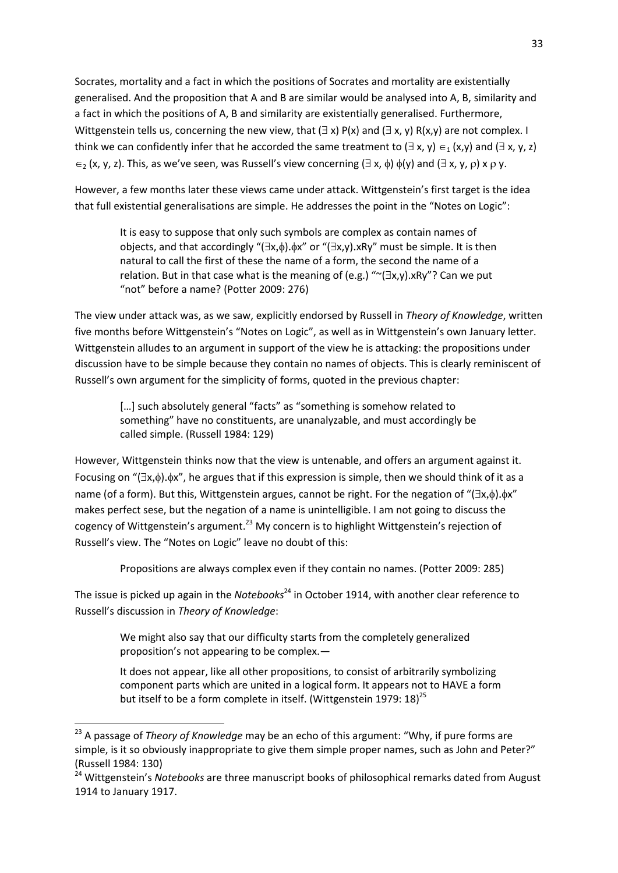Socrates, mortality and a fact in which the positions of Socrates and mortality are existentially generalised. And the proposition that A and B are similar would be analysed into A, B, similarity and a fact in which the positions of A, B and similarity are existentially generalised. Furthermore, Wittgenstein tells us, concerning the new view, that  $(\exists x) P(x)$  and  $(\exists x, y) R(x,y)$  are not complex. I think we can confidently infer that he accorded the same treatment to  $(\exists x, y) \in_1 (x,y)$  and  $(\exists x, y, z)$  $\epsilon_2$  (x, y, z). This, as we've seen, was Russell's view concerning ( $\exists x, \phi$ )  $\phi$ (y) and ( $\exists x, y, \rho$ ) x  $\rho$  y.

However, a few months later these views came under attack. Wittgenstein's first target is the idea that full existential generalisations are simple. He addresses the point in the "Notes on Logic":

It is easy to suppose that only such symbols are complex as contain names of objects, and that accordingly " $(\exists x, \phi)$ . $\phi x$ " or " $(\exists x, y)$ .xRy" must be simple. It is then natural to call the first of these the name of a form, the second the name of a relation. But in that case what is the meaning of (e.g.) " $\sim$ ( $\exists$ x,y).xRy"? Can we put "not" before a name? [\(Potter 2009: 276\)](#page--1-5)

The view under attack was, as we saw, explicitly endorsed by Russell in *Theory of Knowledge*, written five months before Wittgenstein's "Notes on Logic", as well as in Wittgenstein's own January letter. Wittgenstein alludes to an argument in support of the view he is attacking: the propositions under discussion have to be simple because they contain no names of objects. This is clearly reminiscent of Russell's own argument for the simplicity of forms, quoted in the previous chapter:

[...] such absolutely general "facts" as "something is somehow related to something" have no constituents, are unanalyzable, and must accordingly be called simple. [\(Russell 1984: 129\)](#page--1-4)

However, Wittgenstein thinks now that the view is untenable, and offers an argument against it. Focusing on " $(\exists x, \phi)$ . $\phi x$ ", he argues that if this expression is simple, then we should think of it as a name (of a form). But this, Wittgenstein argues, cannot be right. For the negation of " $(\exists x, \phi)$ . $\phi x$ " makes perfect sese, but the negation of a name is unintelligible. I am not going to discuss the cogency of Wittgenstein's argument.<sup>23</sup> My concern is to highlight Wittgenstein's rejection of Russell's view. The "Notes on Logic" leave no doubt of this:

Propositions are always complex even if they contain no names. [\(Potter 2009: 285\)](#page--1-5)

The issue is picked up again in the *Notebooks*<sup>24</sup> in October 1914, with another clear reference to Russell's discussion in *Theory of Knowledge*:

We might also say that our difficulty starts from the completely generalized proposition's not appearing to be complex.—

**.** 

It does not appear, like all other propositions, to consist of arbitrarily symbolizing component parts which are united in a logical form. It appears not to HAVE a form but itself to be a form complete in itself. [\(Wittgenstein 1979: 18\)](#page--1-6)<sup>25</sup>

<sup>23</sup> A passage of *Theory of Knowledge* may be an echo of this argument: "Why, if pure forms are simple, is it so obviously inappropriate to give them simple proper names, such as John and Peter?" [\(Russell 1984: 130\)](#page--1-4)

<sup>24</sup> Wittgenstein's *Notebooks* are three manuscript books of philosophical remarks dated from August 1914 to January 1917.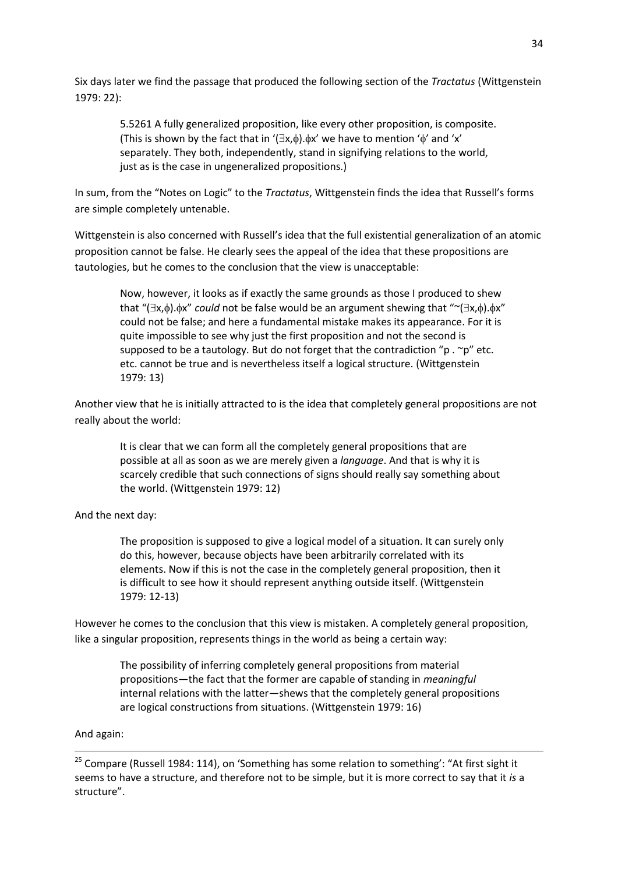Six days later we find the passage that produced the following section of the *Tractatus* [\(Wittgenstein](#page--1-6)  [1979: 22\)](#page--1-6):

5.5261 A fully generalized proposition, like every other proposition, is composite. (This is shown by the fact that in ' $(\exists x, \phi)$ . $\phi x'$  we have to mention ' $\phi'$  and 'x' separately. They both, independently, stand in signifying relations to the world, just as is the case in ungeneralized propositions.)

In sum, from the "Notes on Logic" to the *Tractatus*, Wittgenstein finds the idea that Russell's forms are simple completely untenable.

Wittgenstein is also concerned with Russell's idea that the full existential generalization of an atomic proposition cannot be false. He clearly sees the appeal of the idea that these propositions are tautologies, but he comes to the conclusion that the view is unacceptable:

Now, however, it looks as if exactly the same grounds as those I produced to shew that " $(\exists x,\phi)$ . $\phi x$ " *could* not be false would be an argument shewing that " $\sim$  $(\exists x,\phi)$ . $\phi x$ " could not be false; and here a fundamental mistake makes its appearance. For it is quite impossible to see why just the first proposition and not the second is supposed to be a tautology. But do not forget that the contradiction " $p \cdot p$ " etc. etc. cannot be true and is nevertheless itself a logical structure. [\(Wittgenstein](#page--1-6)  [1979: 13\)](#page--1-6)

Another view that he is initially attracted to is the idea that completely general propositions are not really about the world:

It is clear that we can form all the completely general propositions that are possible at all as soon as we are merely given a *language*. And that is why it is scarcely credible that such connections of signs should really say something about the world. [\(Wittgenstein 1979: 12\)](#page--1-6)

And the next day:

The proposition is supposed to give a logical model of a situation. It can surely only do this, however, because objects have been arbitrarily correlated with its elements. Now if this is not the case in the completely general proposition, then it is difficult to see how it should represent anything outside itself. [\(Wittgenstein](#page--1-6)  [1979: 12-13\)](#page--1-6)

However he comes to the conclusion that this view is mistaken. A completely general proposition, like a singular proposition, represents things in the world as being a certain way:

The possibility of inferring completely general propositions from material propositions—the fact that the former are capable of standing in *meaningful* internal relations with the latter—shews that the completely general propositions are logical constructions from situations. [\(Wittgenstein 1979: 16\)](#page--1-6)

And again:

<sup>&</sup>lt;sup>25</sup> Compare [\(Russell 1984: 114\)](#page--1-4), on 'Something has some relation to something': "At first sight it seems to have a structure, and therefore not to be simple, but it is more correct to say that it *is* a structure".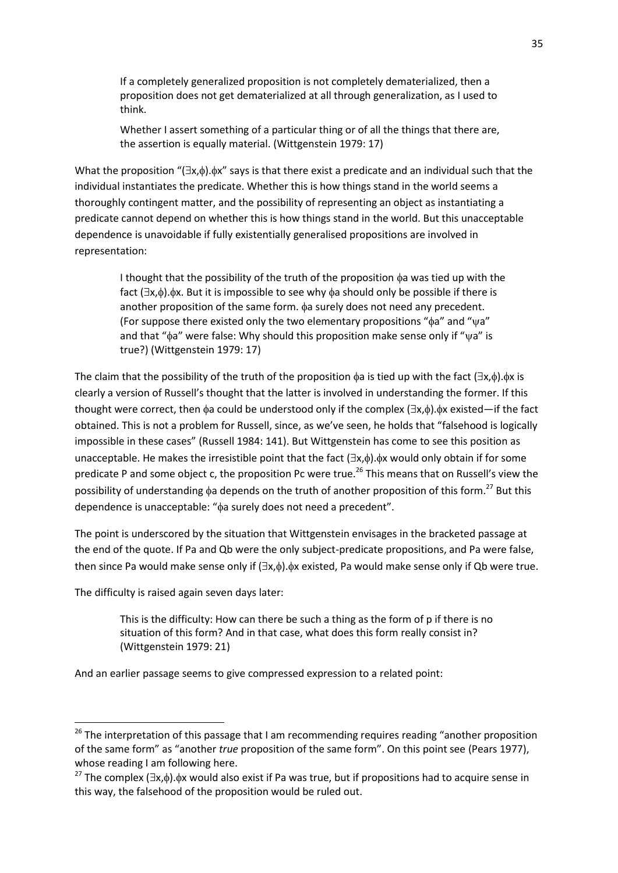If a completely generalized proposition is not completely dematerialized, then a proposition does not get dematerialized at all through generalization, as I used to think.

Whether I assert something of a particular thing or of all the things that there are, the assertion is equally material. [\(Wittgenstein 1979: 17\)](#page--1-6)

What the proposition " $(\exists x,\phi)$ . $\phi x$ " says is that there exist a predicate and an individual such that the individual instantiates the predicate. Whether this is how things stand in the world seems a thoroughly contingent matter, and the possibility of representing an object as instantiating a predicate cannot depend on whether this is how things stand in the world. But this unacceptable dependence is unavoidable if fully existentially generalised propositions are involved in representation:

I thought that the possibility of the truth of the proposition  $\phi$ a was tied up with the fact  $(\exists x,\phi)$ . $\phi x$ . But it is impossible to see why  $\phi$ a should only be possible if there is another proposition of the same form.  $\phi$ a surely does not need any precedent. (For suppose there existed only the two elementary propositions " $\phi$ a" and "ya" and that " $\phi$ a" were false: Why should this proposition make sense only if " $\psi$ a" is true?) [\(Wittgenstein 1979: 17\)](#page--1-6)

The claim that the possibility of the truth of the proposition  $\phi$  is tied up with the fact  $(\exists x, \phi)$ . $\phi$ x is clearly a version of Russell's thought that the latter is involved in understanding the former. If this thought were correct, then  $\phi$ a could be understood only if the complex  $(\exists x, \phi)$ . $\phi$ x existed—if the fact obtained. This is not a problem for Russell, since, as we've seen, he holds that "falsehood is logically impossible in these cases" [\(Russell 1984: 141\)](#page--1-4). But Wittgenstein has come to see this position as unacceptable. He makes the irresistible point that the fact  $(\exists x, \phi)$ . $\phi x$  would only obtain if for some predicate P and some object c, the proposition Pc were true.<sup>26</sup> This means that on Russell's view the possibility of understanding  $\phi$ a depends on the truth of another proposition of this form.<sup>27</sup> But this dependence is unacceptable: " $\phi$ a surely does not need a precedent".

The point is underscored by the situation that Wittgenstein envisages in the bracketed passage at the end of the quote. If Pa and Qb were the only subject-predicate propositions, and Pa were false, then since Pa would make sense only if  $(\exists x, \phi)$ . $\phi x$  existed, Pa would make sense only if Qb were true.

The difficulty is raised again seven days later:

**.** 

This is the difficulty: How can there be such a thing as the form of p if there is no situation of this form? And in that case, what does this form really consist in? [\(Wittgenstein 1979: 21\)](#page--1-6)

And an earlier passage seems to give compressed expression to a related point:

<sup>&</sup>lt;sup>26</sup> The interpretation of this passage that I am recommending requires reading "another proposition of the same form" as "another *true* proposition of the same form". On this point see [\(Pears 1977\)](#page--1-7), whose reading I am following here.

<sup>&</sup>lt;sup>27</sup> The complex  $(\exists x,\phi)$ . $\phi$ x would also exist if Pa was true, but if propositions had to acquire sense in this way, the falsehood of the proposition would be ruled out.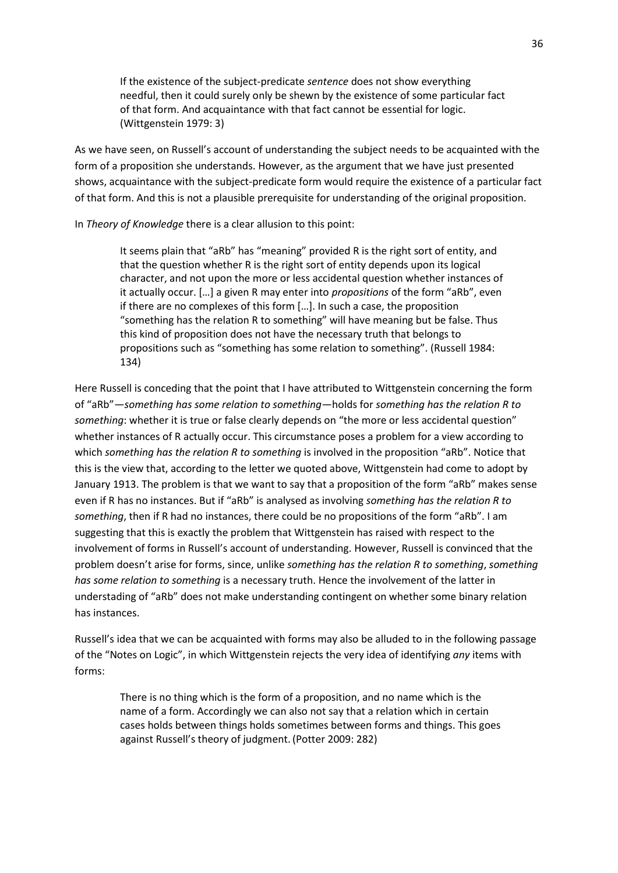If the existence of the subject-predicate *sentence* does not show everything needful, then it could surely only be shewn by the existence of some particular fact of that form. And acquaintance with that fact cannot be essential for logic. [\(Wittgenstein 1979: 3\)](#page--1-6)

As we have seen, on Russell's account of understanding the subject needs to be acquainted with the form of a proposition she understands. However, as the argument that we have just presented shows, acquaintance with the subject-predicate form would require the existence of a particular fact of that form. And this is not a plausible prerequisite for understanding of the original proposition.

In *Theory of Knowledge* there is a clear allusion to this point:

It seems plain that "aRb" has "meaning" provided R is the right sort of entity, and that the question whether R is the right sort of entity depends upon its logical character, and not upon the more or less accidental question whether instances of it actually occur. […] a given R may enter into *propositions* of the form "aRb", even if there are no complexes of this form […]. In such a case, the proposition "something has the relation R to something" will have meaning but be false. Thus this kind of proposition does not have the necessary truth that belongs to propositions such as "something has some relation to something". [\(Russell 1984:](#page--1-4)  [134\)](#page--1-4)

Here Russell is conceding that the point that I have attributed to Wittgenstein concerning the form of "aRb"—*something has some relation to something*—holds for *something has the relation R to something*: whether it is true or false clearly depends on "the more or less accidental question" whether instances of R actually occur. This circumstance poses a problem for a view according to which *something has the relation R to something* is involved in the proposition "aRb". Notice that this is the view that, according to the letter we quoted above, Wittgenstein had come to adopt by January 1913. The problem is that we want to say that a proposition of the form "aRb" makes sense even if R has no instances. But if "aRb" is analysed as involving *something has the relation R to something*, then if R had no instances, there could be no propositions of the form "aRb". I am suggesting that this is exactly the problem that Wittgenstein has raised with respect to the involvement of forms in Russell's account of understanding. However, Russell is convinced that the problem doesn't arise for forms, since, unlike *something has the relation R to something*, *something has some relation to something* is a necessary truth. Hence the involvement of the latter in understading of "aRb" does not make understanding contingent on whether some binary relation has instances.

Russell's idea that we can be acquainted with forms may also be alluded to in the following passage of the "Notes on Logic", in which Wittgenstein rejects the very idea of identifying *any* items with forms:

There is no thing which is the form of a proposition, and no name which is the name of a form. Accordingly we can also not say that a relation which in certain cases holds between things holds sometimes between forms and things. This goes against Russell's theory of judgment.[\(Potter 2009: 282\)](#page--1-5)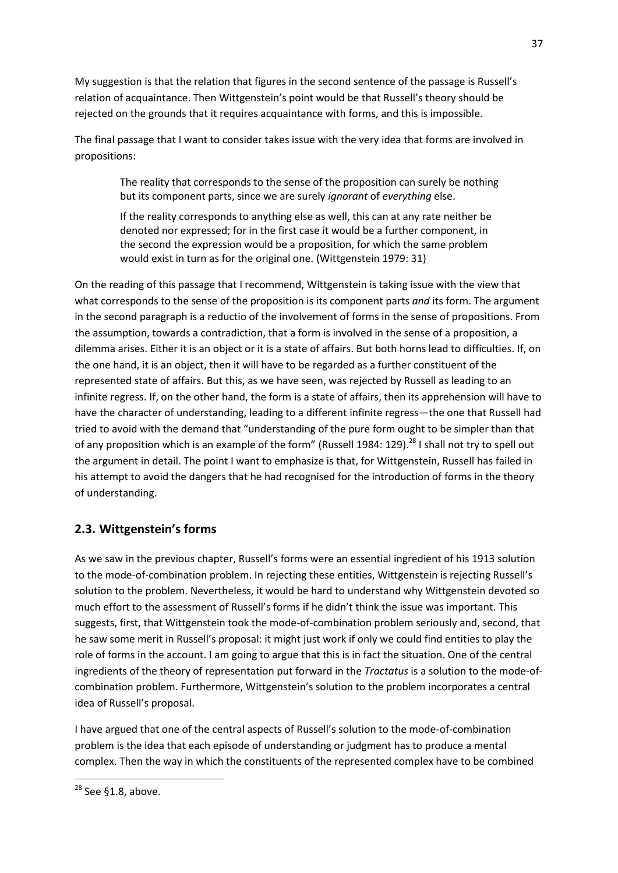My suggestion is that the relation that figures in the second sentence of the passage is Russell's relation of acquaintance. Then Wittgenstein's point would be that Russell's theory should be rejected on the grounds that it requires acquaintance with forms, and this is impossible.

The final passage that I want to consider takes issue with the very idea that forms are involved in propositions:

The reality that corresponds to the sense of the proposition can surely be nothing but its component parts, since we are surely *ignorant* of *everything* else.

If the reality corresponds to anything else as well, this can at any rate neither be denoted nor expressed; for in the first case it would be a further component, in the second the expression would be a proposition, for which the same problem would exist in turn as for the original one. [\(Wittgenstein 1979: 31\)](#page--1-6)

On the reading of this passage that I recommend, Wittgenstein is taking issue with the view that what corresponds to the sense of the proposition is its component parts *and* its form. The argument in the second paragraph is a reductio of the involvement of forms in the sense of propositions. From the assumption, towards a contradiction, that a form is involved in the sense of a proposition, a dilemma arises. Either it is an object or it is a state of affairs. But both horns lead to difficulties. If, on the one hand, it is an object, then it will have to be regarded as a further constituent of the represented state of affairs. But this, as we have seen, was rejected by Russell as leading to an infinite regress. If, on the other hand, the form is a state of affairs, then its apprehension will have to have the character of understanding, leading to a different infinite regress—the one that Russell had tried to avoid with the demand that "understanding of the pure form ought to be simpler than that of any proposition which is an example of the form" [\(Russell 1984: 129\)](#page--1-4).<sup>28</sup> I shall not try to spell out the argument in detail. The point I want to emphasize is that, for Wittgenstein, Russell has failed in his attempt to avoid the dangers that he had recognised for the introduction of forms in the theory of understanding.

## **2.3. Wittgenstein's forms**

As we saw in the previous chapter, Russell's forms were an essential ingredient of his 1913 solution to the mode-of-combination problem. In rejecting these entities, Wittgenstein is rejecting Russell's solution to the problem. Nevertheless, it would be hard to understand why Wittgenstein devoted so much effort to the assessment of Russell's forms if he didn't think the issue was important. This suggests, first, that Wittgenstein took the mode-of-combination problem seriously and, second, that he saw some merit in Russell's proposal: it might just work if only we could find entities to play the role of forms in the account. I am going to argue that this is in fact the situation. One of the central ingredients of the theory of representation put forward in the *Tractatus* is a solution to the mode-ofcombination problem. Furthermore, Wittgenstein's solution to the problem incorporates a central idea of Russell's proposal.

I have argued that one of the central aspects of Russell's solution to the mode-of-combination problem is the idea that each episode of understanding or judgment has to produce a mental complex. Then the way in which the constituents of the represented complex have to be combined

 $28$  See [§1.8,](#page--1-8) above.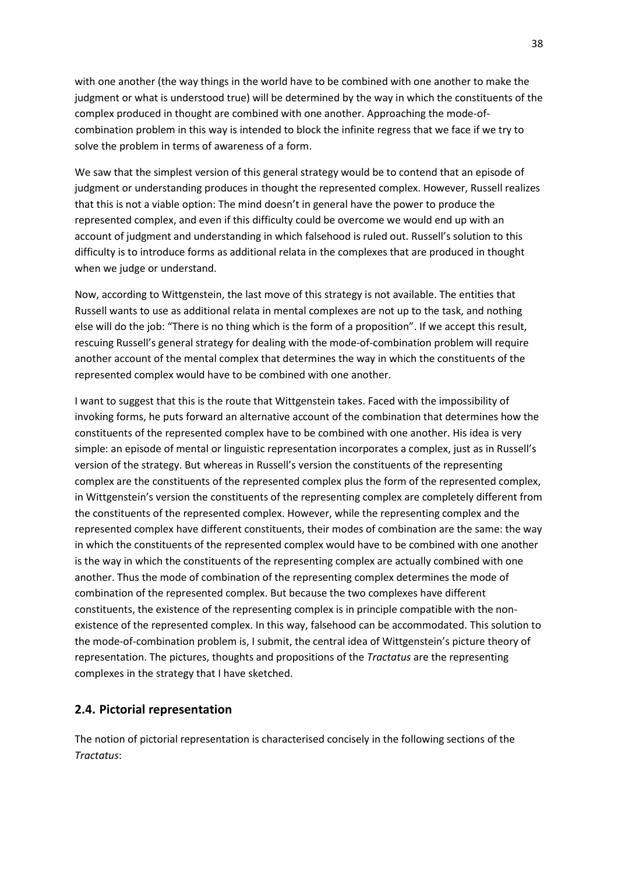with one another (the way things in the world have to be combined with one another to make the judgment or what is understood true) will be determined by the way in which the constituents of the complex produced in thought are combined with one another. Approaching the mode-ofcombination problem in this way is intended to block the infinite regress that we face if we try to solve the problem in terms of awareness of a form.

We saw that the simplest version of this general strategy would be to contend that an episode of judgment or understanding produces in thought the represented complex. However, Russell realizes that this is not a viable option: The mind doesn't in general have the power to produce the represented complex, and even if this difficulty could be overcome we would end up with an account of judgment and understanding in which falsehood is ruled out. Russell's solution to this difficulty is to introduce forms as additional relata in the complexes that are produced in thought when we judge or understand.

Now, according to Wittgenstein, the last move of this strategy is not available. The entities that Russell wants to use as additional relata in mental complexes are not up to the task, and nothing else will do the job: "There is no thing which is the form of a proposition". If we accept this result, rescuing Russell's general strategy for dealing with the mode-of-combination problem will require another account of the mental complex that determines the way in which the constituents of the represented complex would have to be combined with one another.

I want to suggest that this is the route that Wittgenstein takes. Faced with the impossibility of invoking forms, he puts forward an alternative account of the combination that determines how the constituents of the represented complex have to be combined with one another. His idea is very simple: an episode of mental or linguistic representation incorporates a complex, just as in Russell's version of the strategy. But whereas in Russell's version the constituents of the representing complex are the constituents of the represented complex plus the form of the represented complex, in Wittgenstein's version the constituents of the representing complex are completely different from the constituents of the represented complex. However, while the representing complex and the represented complex have different constituents, their modes of combination are the same: the way in which the constituents of the represented complex would have to be combined with one another is the way in which the constituents of the representing complex are actually combined with one another. Thus the mode of combination of the representing complex determines the mode of combination of the represented complex. But because the two complexes have different constituents, the existence of the representing complex is in principle compatible with the nonexistence of the represented complex. In this way, falsehood can be accommodated. This solution to the mode-of-combination problem is, I submit, the central idea of Wittgenstein's picture theory of representation. The pictures, thoughts and propositions of the *Tractatus* are the representing complexes in the strategy that I have sketched.

## **2.4. Pictorial representation**

The notion of pictorial representation is characterised concisely in the following sections of the *Tractatus*: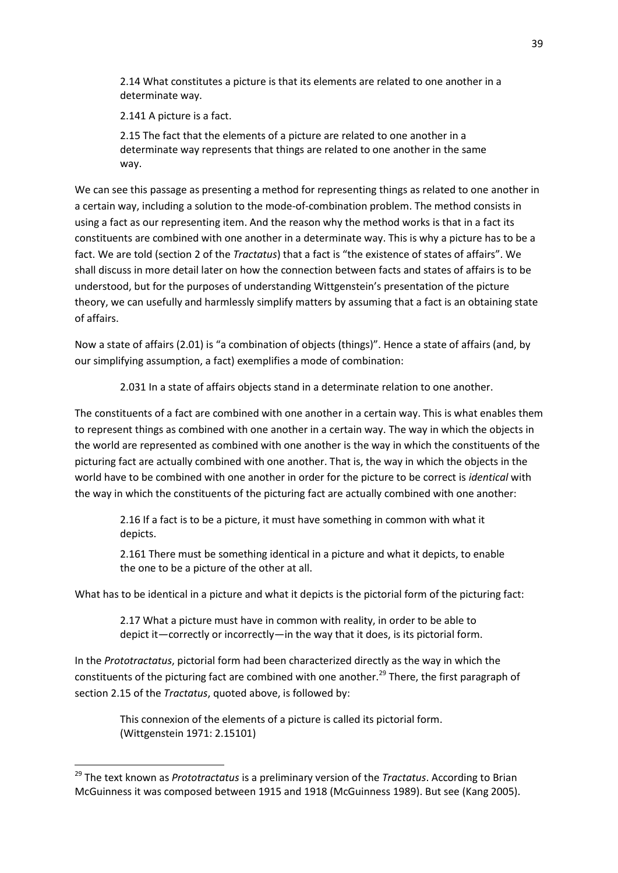2.14 What constitutes a picture is that its elements are related to one another in a determinate way.

2.141 A picture is a fact.

2.15 The fact that the elements of a picture are related to one another in a determinate way represents that things are related to one another in the same way.

We can see this passage as presenting a method for representing things as related to one another in a certain way, including a solution to the mode-of-combination problem. The method consists in using a fact as our representing item. And the reason why the method works is that in a fact its constituents are combined with one another in a determinate way. This is why a picture has to be a fact. We are told (section 2 of the *Tractatus*) that a fact is "the existence of states of affairs". We shall discuss in more detail later on how the connection between facts and states of affairs is to be understood, but for the purposes of understanding Wittgenstein's presentation of the picture theory, we can usefully and harmlessly simplify matters by assuming that a fact is an obtaining state of affairs.

Now a state of affairs (2.01) is "a combination of objects (things)". Hence a state of affairs (and, by our simplifying assumption, a fact) exemplifies a mode of combination:

2.031 In a state of affairs objects stand in a determinate relation to one another.

The constituents of a fact are combined with one another in a certain way. This is what enables them to represent things as combined with one another in a certain way. The way in which the objects in the world are represented as combined with one another is the way in which the constituents of the picturing fact are actually combined with one another. That is, the way in which the objects in the world have to be combined with one another in order for the picture to be correct is *identical* with the way in which the constituents of the picturing fact are actually combined with one another:

2.16 If a fact is to be a picture, it must have something in common with what it depicts.

2.161 There must be something identical in a picture and what it depicts, to enable the one to be a picture of the other at all.

What has to be identical in a picture and what it depicts is the pictorial form of the picturing fact:

2.17 What a picture must have in common with reality, in order to be able to depict it—correctly or incorrectly—in the way that it does, is its pictorial form.

In the *Prototractatus*, pictorial form had been characterized directly as the way in which the constituents of the picturing fact are combined with one another.<sup>29</sup> There, the first paragraph of section 2.15 of the *Tractatus*, quoted above, is followed by:

This connexion of the elements of a picture is called its pictorial form. [\(Wittgenstein 1971: 2.15101\)](#page--1-9)

<sup>29</sup> The text known as *Prototractatus* is a preliminary version of the *Tractatus*. According to Brian McGuinness it was composed between 1915 and 1918 [\(McGuinness 1989\)](#page--1-10). But see [\(Kang 2005\)](#page--1-11).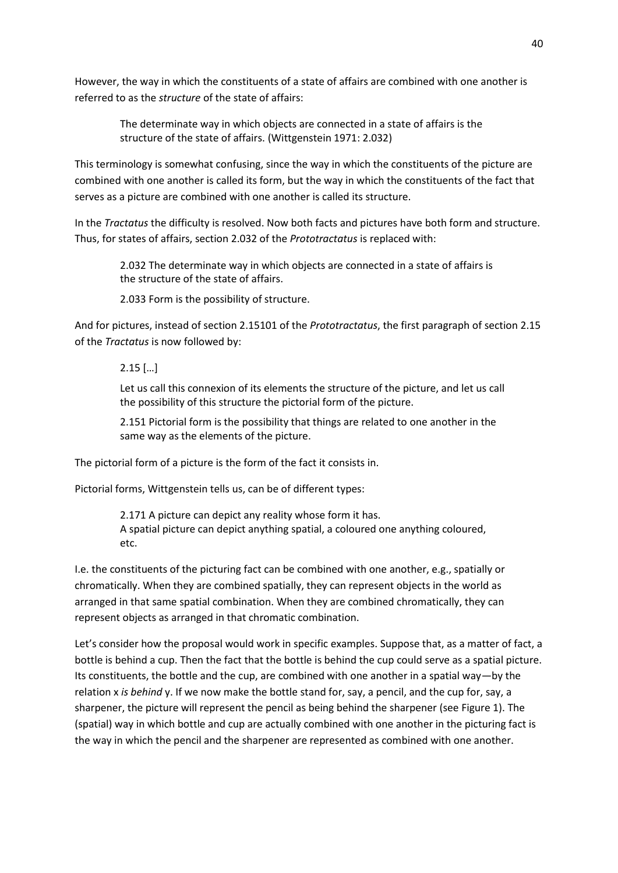However, the way in which the constituents of a state of affairs are combined with one another is referred to as the *structure* of the state of affairs:

The determinate way in which objects are connected in a state of affairs is the structure of the state of affairs. [\(Wittgenstein 1971: 2.032\)](#page--1-9)

This terminology is somewhat confusing, since the way in which the constituents of the picture are combined with one another is called its form, but the way in which the constituents of the fact that serves as a picture are combined with one another is called its structure.

In the *Tractatus* the difficulty is resolved. Now both facts and pictures have both form and structure. Thus, for states of affairs, section 2.032 of the *Prototractatus* is replaced with:

2.032 The determinate way in which objects are connected in a state of affairs is the structure of the state of affairs.

2.033 Form is the possibility of structure.

And for pictures, instead of section 2.15101 of the *Prototractatus*, the first paragraph of section 2.15 of the *Tractatus* is now followed by:

#### 2.15 […]

Let us call this connexion of its elements the structure of the picture, and let us call the possibility of this structure the pictorial form of the picture.

2.151 Pictorial form is the possibility that things are related to one another in the same way as the elements of the picture.

The pictorial form of a picture is the form of the fact it consists in.

Pictorial forms, Wittgenstein tells us, can be of different types:

2.171 A picture can depict any reality whose form it has. A spatial picture can depict anything spatial, a coloured one anything coloured, etc.

I.e. the constituents of the picturing fact can be combined with one another, e.g., spatially or chromatically. When they are combined spatially, they can represent objects in the world as arranged in that same spatial combination. When they are combined chromatically, they can represent objects as arranged in that chromatic combination.

Let's consider how the proposal would work in specific examples. Suppose that, as a matter of fact, a bottle is behind a cup. Then the fact that the bottle is behind the cup could serve as a spatial picture. Its constituents, the bottle and the cup, are combined with one another in a spatial way—by the relation x *is behind* y. If we now make the bottle stand for, say, a pencil, and the cup for, say, a sharpener, the picture will represent the pencil as being behind the sharpener (se[e Figure 1\)](#page-10-0). The (spatial) way in which bottle and cup are actually combined with one another in the picturing fact is the way in which the pencil and the sharpener are represented as combined with one another.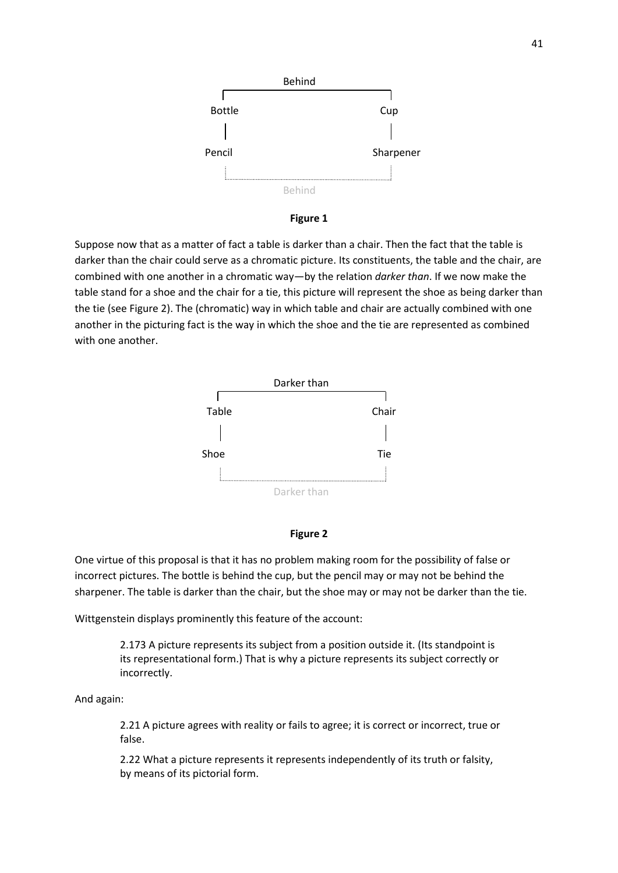



<span id="page-10-0"></span>Suppose now that as a matter of fact a table is darker than a chair. Then the fact that the table is darker than the chair could serve as a chromatic picture. Its constituents, the table and the chair, are combined with one another in a chromatic way—by the relation *darker than*. If we now make the table stand for a shoe and the chair for a tie, this picture will represent the shoe as being darker than the tie (se[e Figure 2\)](#page-10-1). The (chromatic) way in which table and chair are actually combined with one another in the picturing fact is the way in which the shoe and the tie are represented as combined with one another.





<span id="page-10-1"></span>One virtue of this proposal is that it has no problem making room for the possibility of false or incorrect pictures. The bottle is behind the cup, but the pencil may or may not be behind the sharpener. The table is darker than the chair, but the shoe may or may not be darker than the tie.

Wittgenstein displays prominently this feature of the account:

2.173 A picture represents its subject from a position outside it. (Its standpoint is its representational form.) That is why a picture represents its subject correctly or incorrectly.

And again:

2.21 A picture agrees with reality or fails to agree; it is correct or incorrect, true or false.

2.22 What a picture represents it represents independently of its truth or falsity, by means of its pictorial form.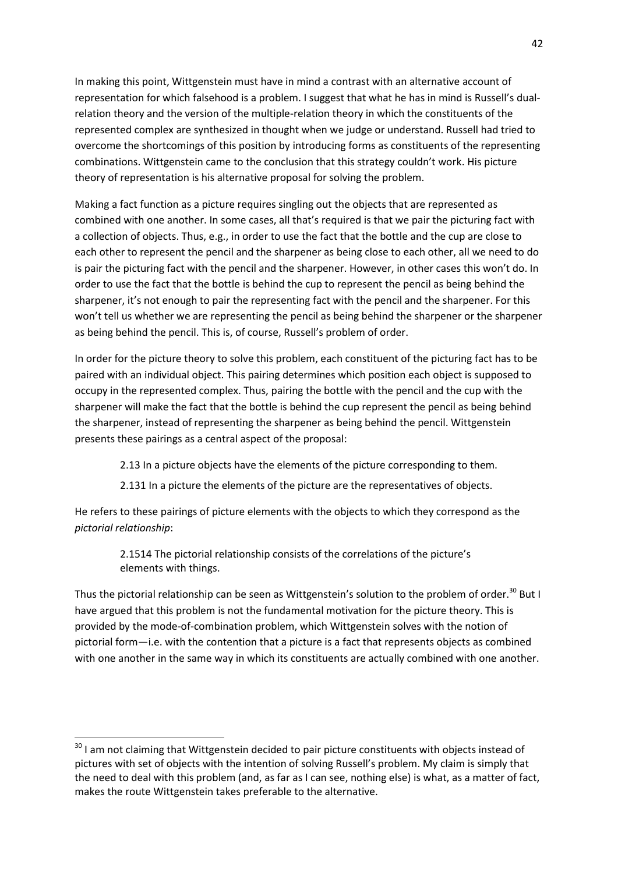In making this point, Wittgenstein must have in mind a contrast with an alternative account of representation for which falsehood is a problem. I suggest that what he has in mind is Russell's dualrelation theory and the version of the multiple-relation theory in which the constituents of the represented complex are synthesized in thought when we judge or understand. Russell had tried to overcome the shortcomings of this position by introducing forms as constituents of the representing combinations. Wittgenstein came to the conclusion that this strategy couldn't work. His picture theory of representation is his alternative proposal for solving the problem.

Making a fact function as a picture requires singling out the objects that are represented as combined with one another. In some cases, all that's required is that we pair the picturing fact with a collection of objects. Thus, e.g., in order to use the fact that the bottle and the cup are close to each other to represent the pencil and the sharpener as being close to each other, all we need to do is pair the picturing fact with the pencil and the sharpener. However, in other cases this won't do. In order to use the fact that the bottle is behind the cup to represent the pencil as being behind the sharpener, it's not enough to pair the representing fact with the pencil and the sharpener. For this won't tell us whether we are representing the pencil as being behind the sharpener or the sharpener as being behind the pencil. This is, of course, Russell's problem of order.

In order for the picture theory to solve this problem, each constituent of the picturing fact has to be paired with an individual object. This pairing determines which position each object is supposed to occupy in the represented complex. Thus, pairing the bottle with the pencil and the cup with the sharpener will make the fact that the bottle is behind the cup represent the pencil as being behind the sharpener, instead of representing the sharpener as being behind the pencil. Wittgenstein presents these pairings as a central aspect of the proposal:

- 2.13 In a picture objects have the elements of the picture corresponding to them.
- 2.131 In a picture the elements of the picture are the representatives of objects.

He refers to these pairings of picture elements with the objects to which they correspond as the *pictorial relationship*:

> 2.1514 The pictorial relationship consists of the correlations of the picture's elements with things.

Thus the pictorial relationship can be seen as Wittgenstein's solution to the problem of order.<sup>30</sup> But I have argued that this problem is not the fundamental motivation for the picture theory. This is provided by the mode-of-combination problem, which Wittgenstein solves with the notion of pictorial form—i.e. with the contention that a picture is a fact that represents objects as combined with one another in the same way in which its constituents are actually combined with one another.

<sup>&</sup>lt;sup>30</sup> I am not claiming that Wittgenstein decided to pair picture constituents with objects instead of pictures with set of objects with the intention of solving Russell's problem. My claim is simply that the need to deal with this problem (and, as far as I can see, nothing else) is what, as a matter of fact, makes the route Wittgenstein takes preferable to the alternative.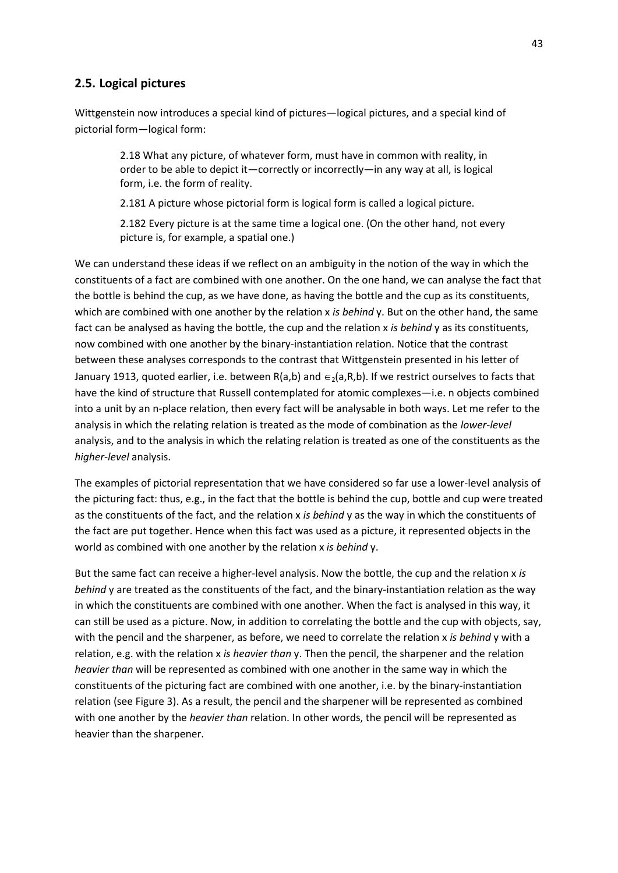### <span id="page-12-0"></span>**2.5. Logical pictures**

Wittgenstein now introduces a special kind of pictures—logical pictures, and a special kind of pictorial form—logical form:

> 2.18 What any picture, of whatever form, must have in common with reality, in order to be able to depict it—correctly or incorrectly—in any way at all, is logical form, i.e. the form of reality.

2.181 A picture whose pictorial form is logical form is called a logical picture.

2.182 Every picture is at the same time a logical one. (On the other hand, not every picture is, for example, a spatial one.)

We can understand these ideas if we reflect on an ambiguity in the notion of the way in which the constituents of a fact are combined with one another. On the one hand, we can analyse the fact that the bottle is behind the cup, as we have done, as having the bottle and the cup as its constituents, which are combined with one another by the relation x *is behind* y. But on the other hand, the same fact can be analysed as having the bottle, the cup and the relation x *is behind* y as its constituents, now combined with one another by the binary-instantiation relation. Notice that the contrast between these analyses corresponds to the contrast that Wittgenstein presented in his letter of January 1913, quoted earlier, i.e. between R(a,b) and  $\epsilon_2$ (a,R,b). If we restrict ourselves to facts that have the kind of structure that Russell contemplated for atomic complexes—i.e. n objects combined into a unit by an n-place relation, then every fact will be analysable in both ways. Let me refer to the analysis in which the relating relation is treated as the mode of combination as the *lower-level* analysis, and to the analysis in which the relating relation is treated as one of the constituents as the *higher-level* analysis.

The examples of pictorial representation that we have considered so far use a lower-level analysis of the picturing fact: thus, e.g., in the fact that the bottle is behind the cup, bottle and cup were treated as the constituents of the fact, and the relation x *is behind* y as the way in which the constituents of the fact are put together. Hence when this fact was used as a picture, it represented objects in the world as combined with one another by the relation x *is behind* y.

But the same fact can receive a higher-level analysis. Now the bottle, the cup and the relation x *is behind* y are treated as the constituents of the fact, and the binary-instantiation relation as the way in which the constituents are combined with one another. When the fact is analysed in this way, it can still be used as a picture. Now, in addition to correlating the bottle and the cup with objects, say, with the pencil and the sharpener, as before, we need to correlate the relation x *is behind* y with a relation, e.g. with the relation x *is heavier than* y. Then the pencil, the sharpener and the relation *heavier than* will be represented as combined with one another in the same way in which the constituents of the picturing fact are combined with one another, i.e. by the binary-instantiation relation (se[e Figure 3\)](#page-13-0). As a result, the pencil and the sharpener will be represented as combined with one another by the *heavier than* relation. In other words, the pencil will be represented as heavier than the sharpener.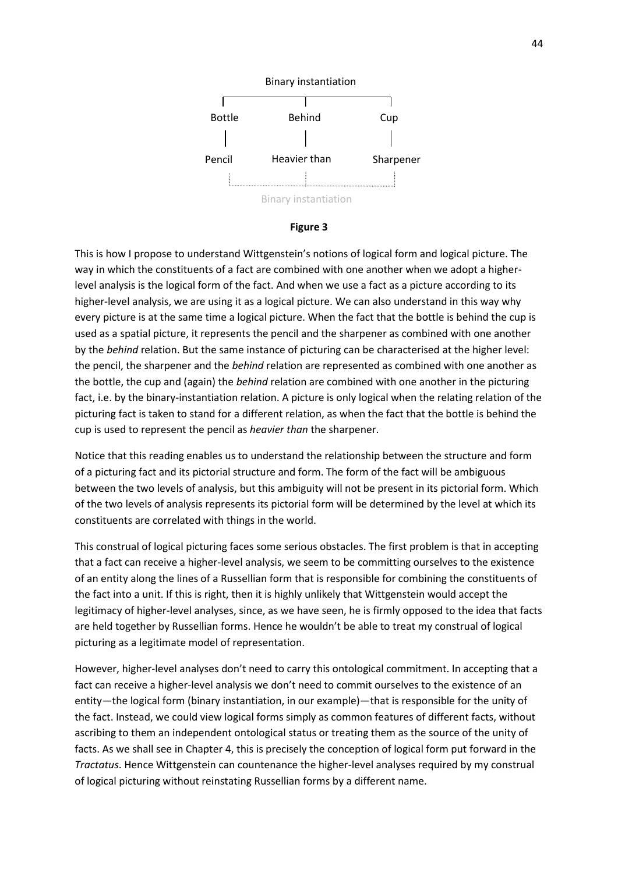



<span id="page-13-0"></span>This is how I propose to understand Wittgenstein's notions of logical form and logical picture. The way in which the constituents of a fact are combined with one another when we adopt a higherlevel analysis is the logical form of the fact. And when we use a fact as a picture according to its higher-level analysis, we are using it as a logical picture. We can also understand in this way why every picture is at the same time a logical picture. When the fact that the bottle is behind the cup is used as a spatial picture, it represents the pencil and the sharpener as combined with one another by the *behind* relation. But the same instance of picturing can be characterised at the higher level: the pencil, the sharpener and the *behind* relation are represented as combined with one another as the bottle, the cup and (again) the *behind* relation are combined with one another in the picturing fact, i.e. by the binary-instantiation relation. A picture is only logical when the relating relation of the picturing fact is taken to stand for a different relation, as when the fact that the bottle is behind the cup is used to represent the pencil as *heavier than* the sharpener.

Notice that this reading enables us to understand the relationship between the structure and form of a picturing fact and its pictorial structure and form. The form of the fact will be ambiguous between the two levels of analysis, but this ambiguity will not be present in its pictorial form. Which of the two levels of analysis represents its pictorial form will be determined by the level at which its constituents are correlated with things in the world.

This construal of logical picturing faces some serious obstacles. The first problem is that in accepting that a fact can receive a higher-level analysis, we seem to be committing ourselves to the existence of an entity along the lines of a Russellian form that is responsible for combining the constituents of the fact into a unit. If this is right, then it is highly unlikely that Wittgenstein would accept the legitimacy of higher-level analyses, since, as we have seen, he is firmly opposed to the idea that facts are held together by Russellian forms. Hence he wouldn't be able to treat my construal of logical picturing as a legitimate model of representation.

However, higher-level analyses don't need to carry this ontological commitment. In accepting that a fact can receive a higher-level analysis we don't need to commit ourselves to the existence of an entity—the logical form (binary instantiation, in our example)—that is responsible for the unity of the fact. Instead, we could view logical forms simply as common features of different facts, without ascribing to them an independent ontological status or treating them as the source of the unity of facts. As we shall see in Chapter 4, this is precisely the conception of logical form put forward in the *Tractatus*. Hence Wittgenstein can countenance the higher-level analyses required by my construal of logical picturing without reinstating Russellian forms by a different name.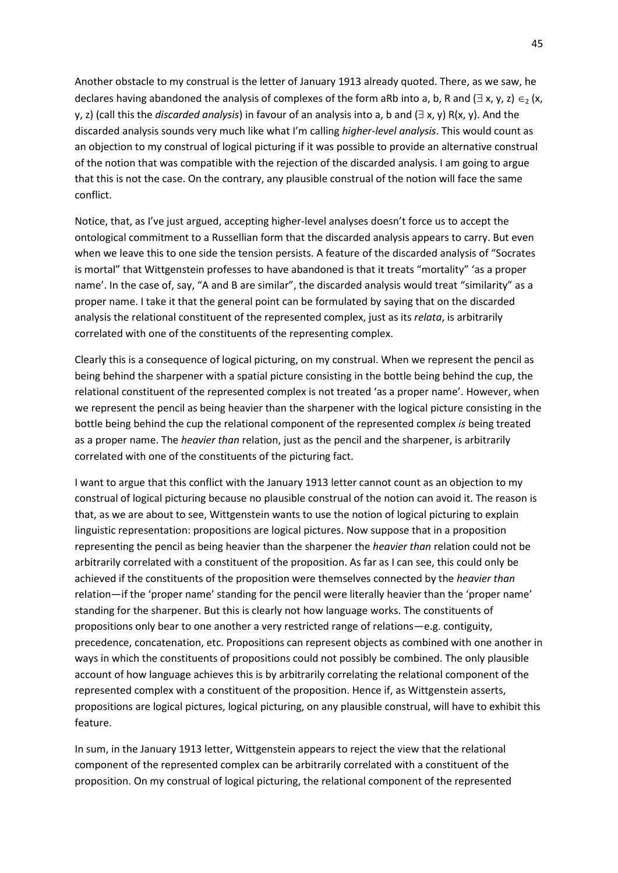Another obstacle to my construal is the letter of January 1913 already quoted. There, as we saw, he declares having abandoned the analysis of complexes of the form aRb into a, b, R and  $(\exists x, y, z) \in_2 (x, z)$  $y$ , z) (call this the *discarded analysis*) in favour of an analysis into a, b and  $(\exists x, y)$  R(x, y). And the discarded analysis sounds very much like what I'm calling *higher-level analysis*. This would count as an objection to my construal of logical picturing if it was possible to provide an alternative construal of the notion that was compatible with the rejection of the discarded analysis. I am going to argue that this is not the case. On the contrary, any plausible construal of the notion will face the same conflict.

Notice, that, as I've just argued, accepting higher-level analyses doesn't force us to accept the ontological commitment to a Russellian form that the discarded analysis appears to carry. But even when we leave this to one side the tension persists. A feature of the discarded analysis of "Socrates is mortal" that Wittgenstein professes to have abandoned is that it treats "mortality" 'as a proper name'. In the case of, say, "A and B are similar", the discarded analysis would treat "similarity" as a proper name. I take it that the general point can be formulated by saying that on the discarded analysis the relational constituent of the represented complex, just as its *relata*, is arbitrarily correlated with one of the constituents of the representing complex.

Clearly this is a consequence of logical picturing, on my construal. When we represent the pencil as being behind the sharpener with a spatial picture consisting in the bottle being behind the cup, the relational constituent of the represented complex is not treated 'as a proper name'. However, when we represent the pencil as being heavier than the sharpener with the logical picture consisting in the bottle being behind the cup the relational component of the represented complex *is* being treated as a proper name. The *heavier than* relation, just as the pencil and the sharpener, is arbitrarily correlated with one of the constituents of the picturing fact.

I want to argue that this conflict with the January 1913 letter cannot count as an objection to my construal of logical picturing because no plausible construal of the notion can avoid it. The reason is that, as we are about to see, Wittgenstein wants to use the notion of logical picturing to explain linguistic representation: propositions are logical pictures. Now suppose that in a proposition representing the pencil as being heavier than the sharpener the *heavier than* relation could not be arbitrarily correlated with a constituent of the proposition. As far as I can see, this could only be achieved if the constituents of the proposition were themselves connected by the *heavier than* relation—if the 'proper name' standing for the pencil were literally heavier than the 'proper name' standing for the sharpener. But this is clearly not how language works. The constituents of propositions only bear to one another a very restricted range of relations—e.g. contiguity, precedence, concatenation, etc. Propositions can represent objects as combined with one another in ways in which the constituents of propositions could not possibly be combined. The only plausible account of how language achieves this is by arbitrarily correlating the relational component of the represented complex with a constituent of the proposition. Hence if, as Wittgenstein asserts, propositions are logical pictures, logical picturing, on any plausible construal, will have to exhibit this feature.

In sum, in the January 1913 letter, Wittgenstein appears to reject the view that the relational component of the represented complex can be arbitrarily correlated with a constituent of the proposition. On my construal of logical picturing, the relational component of the represented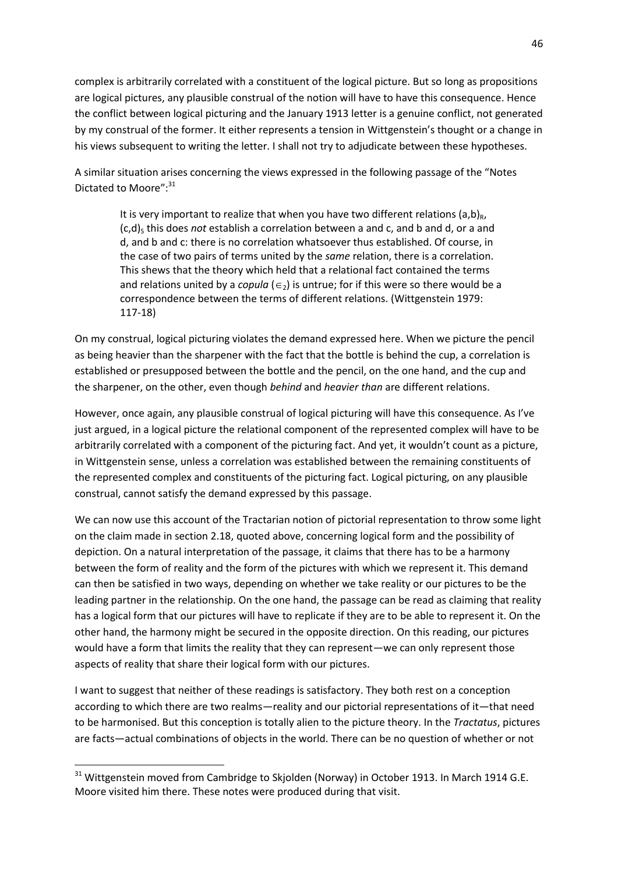complex is arbitrarily correlated with a constituent of the logical picture. But so long as propositions are logical pictures, any plausible construal of the notion will have to have this consequence. Hence the conflict between logical picturing and the January 1913 letter is a genuine conflict, not generated by my construal of the former. It either represents a tension in Wittgenstein's thought or a change in his views subsequent to writing the letter. I shall not try to adjudicate between these hypotheses.

A similar situation arises concerning the views expressed in the following passage of the "Notes Dictated to Moore": 31

> It is very important to realize that when you have two different relations  $(a,b)<sub>R</sub>$ ,  $(c,d)$ <sub>s</sub> this does *not* establish a correlation between a and c, and b and d, or a and d, and b and c: there is no correlation whatsoever thus established. Of course, in the case of two pairs of terms united by the *same* relation, there is a correlation. This shews that the theory which held that a relational fact contained the terms and relations united by a *copula*  $(\epsilon_2)$  is untrue; for if this were so there would be a correspondence between the terms of different relations. [\(Wittgenstein 1979:](#page--1-6)  [117-18\)](#page--1-6)

On my construal, logical picturing violates the demand expressed here. When we picture the pencil as being heavier than the sharpener with the fact that the bottle is behind the cup, a correlation is established or presupposed between the bottle and the pencil, on the one hand, and the cup and the sharpener, on the other, even though *behind* and *heavier than* are different relations.

However, once again, any plausible construal of logical picturing will have this consequence. As I've just argued, in a logical picture the relational component of the represented complex will have to be arbitrarily correlated with a component of the picturing fact. And yet, it wouldn't count as a picture, in Wittgenstein sense, unless a correlation was established between the remaining constituents of the represented complex and constituents of the picturing fact. Logical picturing, on any plausible construal, cannot satisfy the demand expressed by this passage.

We can now use this account of the Tractarian notion of pictorial representation to throw some light on the claim made in section 2.18, quoted above, concerning logical form and the possibility of depiction. On a natural interpretation of the passage, it claims that there has to be a harmony between the form of reality and the form of the pictures with which we represent it. This demand can then be satisfied in two ways, depending on whether we take reality or our pictures to be the leading partner in the relationship. On the one hand, the passage can be read as claiming that reality has a logical form that our pictures will have to replicate if they are to be able to represent it. On the other hand, the harmony might be secured in the opposite direction. On this reading, our pictures would have a form that limits the reality that they can represent—we can only represent those aspects of reality that share their logical form with our pictures.

I want to suggest that neither of these readings is satisfactory. They both rest on a conception according to which there are two realms—reality and our pictorial representations of it—that need to be harmonised. But this conception is totally alien to the picture theory. In the *Tractatus*, pictures are facts—actual combinations of objects in the world. There can be no question of whether or not

<sup>&</sup>lt;sup>31</sup> Wittgenstein moved from Cambridge to Skjolden (Norway) in October 1913. In March 1914 G.E. Moore visited him there. These notes were produced during that visit.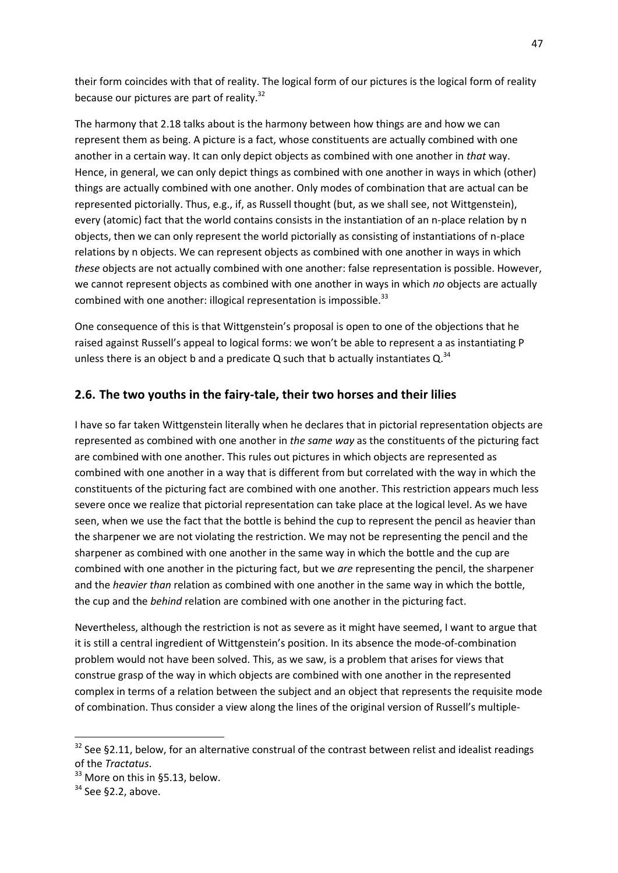their form coincides with that of reality. The logical form of our pictures is the logical form of reality because our pictures are part of reality.<sup>32</sup>

The harmony that 2.18 talks about is the harmony between how things are and how we can represent them as being. A picture is a fact, whose constituents are actually combined with one another in a certain way. It can only depict objects as combined with one another in *that* way. Hence, in general, we can only depict things as combined with one another in ways in which (other) things are actually combined with one another. Only modes of combination that are actual can be represented pictorially. Thus, e.g., if, as Russell thought (but, as we shall see, not Wittgenstein), every (atomic) fact that the world contains consists in the instantiation of an n-place relation by n objects, then we can only represent the world pictorially as consisting of instantiations of n-place relations by n objects. We can represent objects as combined with one another in ways in which *these* objects are not actually combined with one another: false representation is possible. However, we cannot represent objects as combined with one another in ways in which *no* objects are actually combined with one another: illogical representation is impossible.<sup>33</sup>

One consequence of this is that Wittgenstein's proposal is open to one of the objections that he raised against Russell's appeal to logical forms: we won't be able to represent a as instantiating P unless there is an object b and a predicate Q such that b actually instantiates  $Q^{34}$ 

# **2.6. The two youths in the fairy-tale, their two horses and their lilies**

I have so far taken Wittgenstein literally when he declares that in pictorial representation objects are represented as combined with one another in *the same way* as the constituents of the picturing fact are combined with one another. This rules out pictures in which objects are represented as combined with one another in a way that is different from but correlated with the way in which the constituents of the picturing fact are combined with one another. This restriction appears much less severe once we realize that pictorial representation can take place at the logical level. As we have seen, when we use the fact that the bottle is behind the cup to represent the pencil as heavier than the sharpener we are not violating the restriction. We may not be representing the pencil and the sharpener as combined with one another in the same way in which the bottle and the cup are combined with one another in the picturing fact, but we *are* representing the pencil, the sharpener and the *heavier than* relation as combined with one another in the same way in which the bottle, the cup and the *behind* relation are combined with one another in the picturing fact.

Nevertheless, although the restriction is not as severe as it might have seemed, I want to argue that it is still a central ingredient of Wittgenstein's position. In its absence the mode-of-combination problem would not have been solved. This, as we saw, is a problem that arises for views that construe grasp of the way in which objects are combined with one another in the represented complex in terms of a relation between the subject and an object that represents the requisite mode of combination. Thus consider a view along the lines of the original version of Russell's multiple-

<sup>&</sup>lt;sup>32</sup> See [§2.11,](#page-38-0) below, for an alternative construal of the contrast between relist and idealist readings of the *Tractatus*.

<sup>&</sup>lt;sup>33</sup> More on this in §5.13, below.

 $34$  See [§2.2,](#page-1-0) above.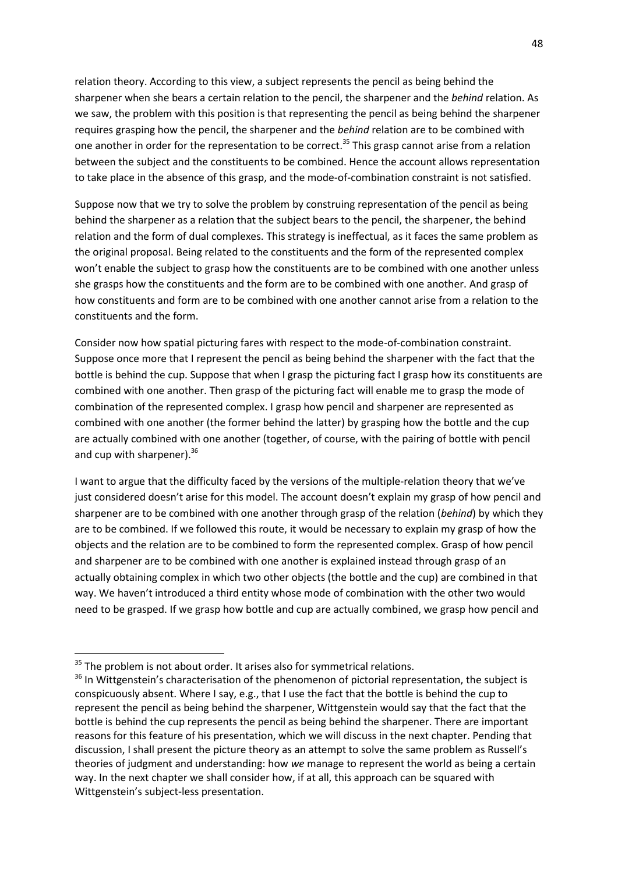relation theory. According to this view, a subject represents the pencil as being behind the sharpener when she bears a certain relation to the pencil, the sharpener and the *behind* relation. As we saw, the problem with this position is that representing the pencil as being behind the sharpener requires grasping how the pencil, the sharpener and the *behind* relation are to be combined with one another in order for the representation to be correct.<sup>35</sup> This grasp cannot arise from a relation between the subject and the constituents to be combined. Hence the account allows representation to take place in the absence of this grasp, and the mode-of-combination constraint is not satisfied.

Suppose now that we try to solve the problem by construing representation of the pencil as being behind the sharpener as a relation that the subject bears to the pencil, the sharpener, the behind relation and the form of dual complexes. This strategy is ineffectual, as it faces the same problem as the original proposal. Being related to the constituents and the form of the represented complex won't enable the subject to grasp how the constituents are to be combined with one another unless she grasps how the constituents and the form are to be combined with one another. And grasp of how constituents and form are to be combined with one another cannot arise from a relation to the constituents and the form.

Consider now how spatial picturing fares with respect to the mode-of-combination constraint. Suppose once more that I represent the pencil as being behind the sharpener with the fact that the bottle is behind the cup. Suppose that when I grasp the picturing fact I grasp how its constituents are combined with one another. Then grasp of the picturing fact will enable me to grasp the mode of combination of the represented complex. I grasp how pencil and sharpener are represented as combined with one another (the former behind the latter) by grasping how the bottle and the cup are actually combined with one another (together, of course, with the pairing of bottle with pencil and cup with sharpener).<sup>36</sup>

I want to argue that the difficulty faced by the versions of the multiple-relation theory that we've just considered doesn't arise for this model. The account doesn't explain my grasp of how pencil and sharpener are to be combined with one another through grasp of the relation (*behind*) by which they are to be combined. If we followed this route, it would be necessary to explain my grasp of how the objects and the relation are to be combined to form the represented complex. Grasp of how pencil and sharpener are to be combined with one another is explained instead through grasp of an actually obtaining complex in which two other objects (the bottle and the cup) are combined in that way. We haven't introduced a third entity whose mode of combination with the other two would need to be grasped. If we grasp how bottle and cup are actually combined, we grasp how pencil and

1

<sup>&</sup>lt;sup>35</sup> The problem is not about order. It arises also for symmetrical relations.

<sup>&</sup>lt;sup>36</sup> In Wittgenstein's characterisation of the phenomenon of pictorial representation, the subject is conspicuously absent. Where I say, e.g., that I use the fact that the bottle is behind the cup to represent the pencil as being behind the sharpener, Wittgenstein would say that the fact that the bottle is behind the cup represents the pencil as being behind the sharpener. There are important reasons for this feature of his presentation, which we will discuss in the next chapter. Pending that discussion, I shall present the picture theory as an attempt to solve the same problem as Russell's theories of judgment and understanding: how *we* manage to represent the world as being a certain way. In the next chapter we shall consider how, if at all, this approach can be squared with Wittgenstein's subject-less presentation.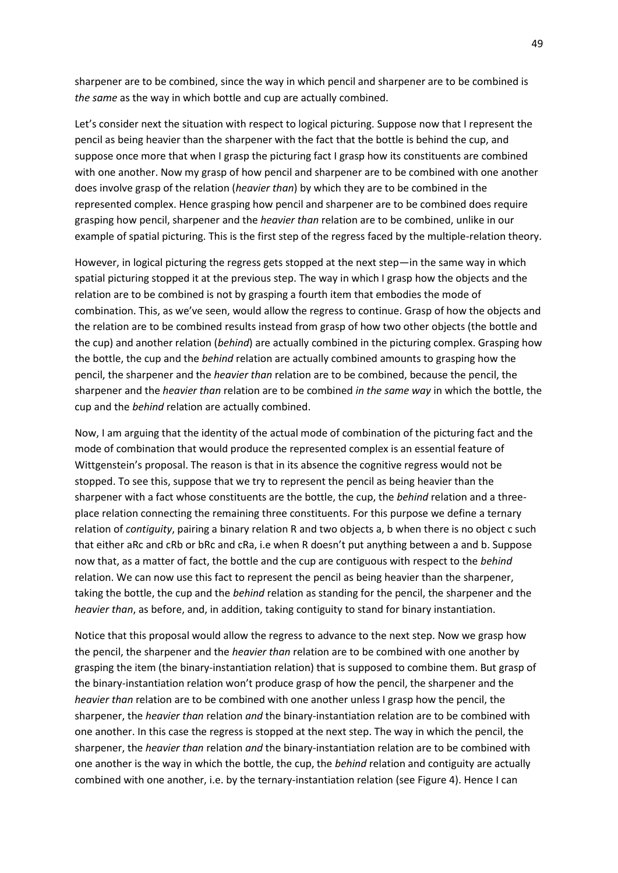sharpener are to be combined, since the way in which pencil and sharpener are to be combined is *the same* as the way in which bottle and cup are actually combined.

Let's consider next the situation with respect to logical picturing. Suppose now that I represent the pencil as being heavier than the sharpener with the fact that the bottle is behind the cup, and suppose once more that when I grasp the picturing fact I grasp how its constituents are combined with one another. Now my grasp of how pencil and sharpener are to be combined with one another does involve grasp of the relation (*heavier than*) by which they are to be combined in the represented complex. Hence grasping how pencil and sharpener are to be combined does require grasping how pencil, sharpener and the *heavier than* relation are to be combined, unlike in our example of spatial picturing. This is the first step of the regress faced by the multiple-relation theory.

However, in logical picturing the regress gets stopped at the next step—in the same way in which spatial picturing stopped it at the previous step. The way in which I grasp how the objects and the relation are to be combined is not by grasping a fourth item that embodies the mode of combination. This, as we've seen, would allow the regress to continue. Grasp of how the objects and the relation are to be combined results instead from grasp of how two other objects (the bottle and the cup) and another relation (*behind*) are actually combined in the picturing complex. Grasping how the bottle, the cup and the *behind* relation are actually combined amounts to grasping how the pencil, the sharpener and the *heavier than* relation are to be combined, because the pencil, the sharpener and the *heavier than* relation are to be combined *in the same way* in which the bottle, the cup and the *behind* relation are actually combined.

Now, I am arguing that the identity of the actual mode of combination of the picturing fact and the mode of combination that would produce the represented complex is an essential feature of Wittgenstein's proposal. The reason is that in its absence the cognitive regress would not be stopped. To see this, suppose that we try to represent the pencil as being heavier than the sharpener with a fact whose constituents are the bottle, the cup, the *behind* relation and a threeplace relation connecting the remaining three constituents. For this purpose we define a ternary relation of *contiguity*, pairing a binary relation R and two objects a, b when there is no object c such that either aRc and cRb or bRc and cRa, i.e when R doesn't put anything between a and b. Suppose now that, as a matter of fact, the bottle and the cup are contiguous with respect to the *behind* relation. We can now use this fact to represent the pencil as being heavier than the sharpener, taking the bottle, the cup and the *behind* relation as standing for the pencil, the sharpener and the *heavier than*, as before, and, in addition, taking contiguity to stand for binary instantiation.

Notice that this proposal would allow the regress to advance to the next step. Now we grasp how the pencil, the sharpener and the *heavier than* relation are to be combined with one another by grasping the item (the binary-instantiation relation) that is supposed to combine them. But grasp of the binary-instantiation relation won't produce grasp of how the pencil, the sharpener and the *heavier than* relation are to be combined with one another unless I grasp how the pencil, the sharpener, the *heavier than* relation *and* the binary-instantiation relation are to be combined with one another. In this case the regress is stopped at the next step. The way in which the pencil, the sharpener, the *heavier than* relation *and* the binary-instantiation relation are to be combined with one another is the way in which the bottle, the cup, the *behind* relation and contiguity are actually combined with one another, i.e. by the ternary-instantiation relation (see [Figure 4\)](#page-19-0). Hence I can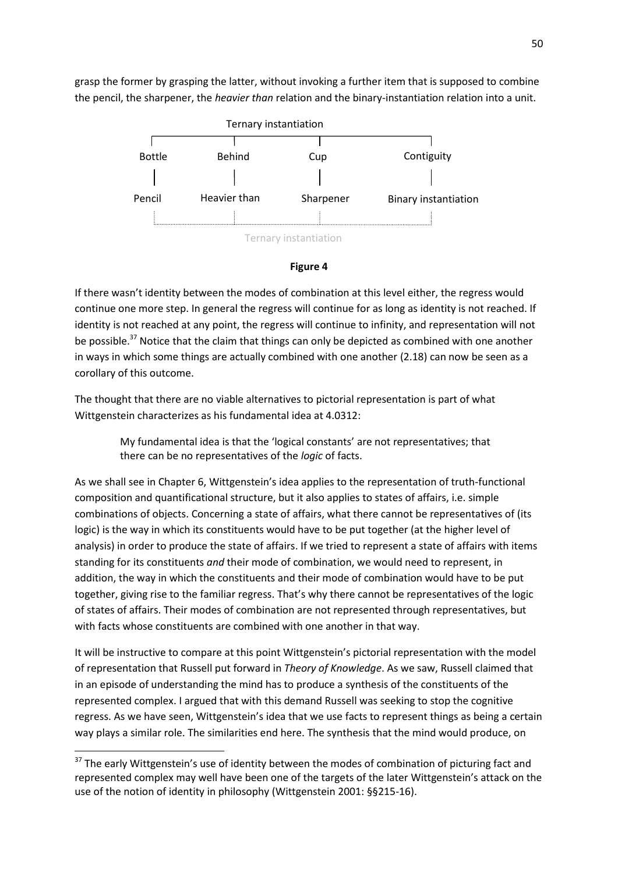grasp the former by grasping the latter, without invoking a further item that is supposed to combine the pencil, the sharpener, the *heavier than* relation and the binary-instantiation relation into a unit.





<span id="page-19-0"></span>If there wasn't identity between the modes of combination at this level either, the regress would continue one more step. In general the regress will continue for as long as identity is not reached. If identity is not reached at any point, the regress will continue to infinity, and representation will not be possible.<sup>37</sup> Notice that the claim that things can only be depicted as combined with one another in ways in which some things are actually combined with one another (2.18) can now be seen as a corollary of this outcome.

The thought that there are no viable alternatives to pictorial representation is part of what Wittgenstein characterizes as his fundamental idea at 4.0312:

> My fundamental idea is that the 'logical constants' are not representatives; that there can be no representatives of the *logic* of facts.

As we shall see in Chapter 6, Wittgenstein's idea applies to the representation of truth-functional composition and quantificational structure, but it also applies to states of affairs, i.e. simple combinations of objects. Concerning a state of affairs, what there cannot be representatives of (its logic) is the way in which its constituents would have to be put together (at the higher level of analysis) in order to produce the state of affairs. If we tried to represent a state of affairs with items standing for its constituents *and* their mode of combination, we would need to represent, in addition, the way in which the constituents and their mode of combination would have to be put together, giving rise to the familiar regress. That's why there cannot be representatives of the logic of states of affairs. Their modes of combination are not represented through representatives, but with facts whose constituents are combined with one another in that way.

It will be instructive to compare at this point Wittgenstein's pictorial representation with the model of representation that Russell put forward in *Theory of Knowledge*. As we saw, Russell claimed that in an episode of understanding the mind has to produce a synthesis of the constituents of the represented complex. I argued that with this demand Russell was seeking to stop the cognitive regress. As we have seen, Wittgenstein's idea that we use facts to represent things as being a certain way plays a similar role. The similarities end here. The synthesis that the mind would produce, on

<sup>&</sup>lt;sup>37</sup> The early Wittgenstein's use of identity between the modes of combination of picturing fact and represented complex may well have been one of the targets of the later Wittgenstein's attack on the use of the notion of identity in philosophy [\(Wittgenstein 2001: §§215-16\)](#page--1-10).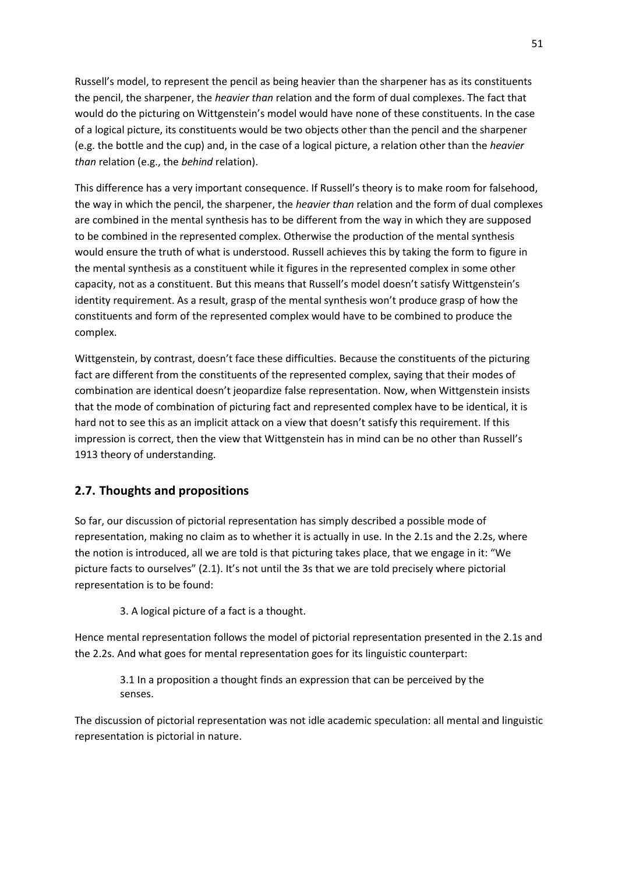Russell's model, to represent the pencil as being heavier than the sharpener has as its constituents the pencil, the sharpener, the *heavier than* relation and the form of dual complexes. The fact that would do the picturing on Wittgenstein's model would have none of these constituents. In the case of a logical picture, its constituents would be two objects other than the pencil and the sharpener (e.g. the bottle and the cup) and, in the case of a logical picture, a relation other than the *heavier than* relation (e.g., the *behind* relation).

This difference has a very important consequence. If Russell's theory is to make room for falsehood, the way in which the pencil, the sharpener, the *heavier than* relation and the form of dual complexes are combined in the mental synthesis has to be different from the way in which they are supposed to be combined in the represented complex. Otherwise the production of the mental synthesis would ensure the truth of what is understood. Russell achieves this by taking the form to figure in the mental synthesis as a constituent while it figures in the represented complex in some other capacity, not as a constituent. But this means that Russell's model doesn't satisfy Wittgenstein's identity requirement. As a result, grasp of the mental synthesis won't produce grasp of how the constituents and form of the represented complex would have to be combined to produce the complex.

Wittgenstein, by contrast, doesn't face these difficulties. Because the constituents of the picturing fact are different from the constituents of the represented complex, saying that their modes of combination are identical doesn't jeopardize false representation. Now, when Wittgenstein insists that the mode of combination of picturing fact and represented complex have to be identical, it is hard not to see this as an implicit attack on a view that doesn't satisfy this requirement. If this impression is correct, then the view that Wittgenstein has in mind can be no other than Russell's 1913 theory of understanding.

## **2.7. Thoughts and propositions**

So far, our discussion of pictorial representation has simply described a possible mode of representation, making no claim as to whether it is actually in use. In the 2.1s and the 2.2s, where the notion is introduced, all we are told is that picturing takes place, that we engage in it: "We picture facts to ourselves" (2.1). It's not until the 3s that we are told precisely where pictorial representation is to be found:

3. A logical picture of a fact is a thought.

Hence mental representation follows the model of pictorial representation presented in the 2.1s and the 2.2s. And what goes for mental representation goes for its linguistic counterpart:

3.1 In a proposition a thought finds an expression that can be perceived by the senses.

The discussion of pictorial representation was not idle academic speculation: all mental and linguistic representation is pictorial in nature.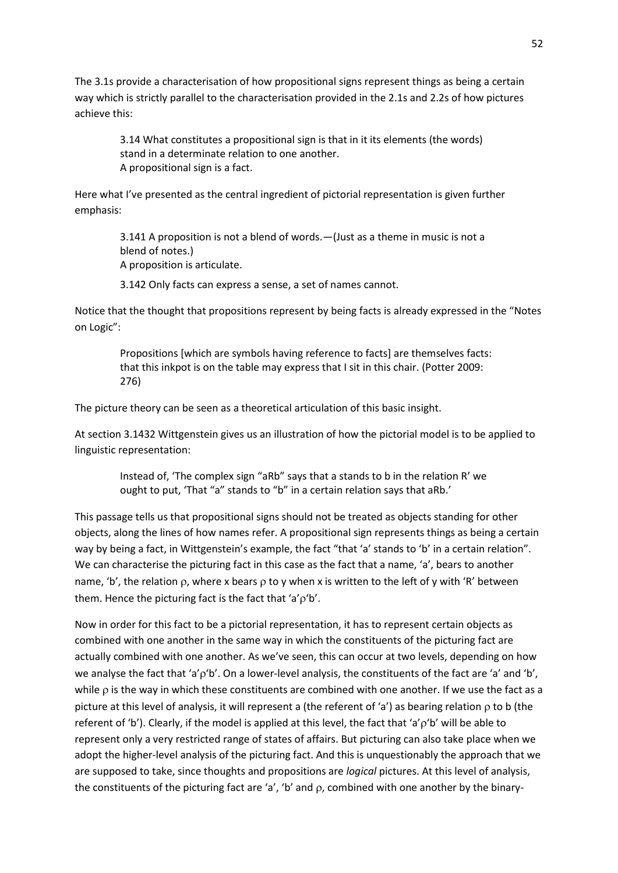The 3.1s provide a characterisation of how propositional signs represent things as being a certain way which is strictly parallel to the characterisation provided in the 2.1s and 2.2s of how pictures achieve this:

3.14 What constitutes a propositional sign is that in it its elements (the words) stand in a determinate relation to one another. A propositional sign is a fact.

Here what I've presented as the central ingredient of pictorial representation is given further emphasis:

> 3.141 A proposition is not a blend of words.—(Just as a theme in music is not a blend of notes.)

A proposition is articulate.

3.142 Only facts can express a sense, a set of names cannot.

Notice that the thought that propositions represent by being facts is already expressed in the "Notes on Logic":

Propositions [which are symbols having reference to facts] are themselves facts: that this inkpot is on the table may express that I sit in this chair. [\(Potter 2009:](#page--1-5)  [276\)](#page--1-5)

The picture theory can be seen as a theoretical articulation of this basic insight.

At section 3.1432 Wittgenstein gives us an illustration of how the pictorial model is to be applied to linguistic representation:

Instead of, 'The complex sign "aRb" says that a stands to b in the relation R' we ought to put, 'That "a" stands to "b" in a certain relation says that aRb.'

This passage tells us that propositional signs should not be treated as objects standing for other objects, along the lines of how names refer. A propositional sign represents things as being a certain way by being a fact, in Wittgenstein's example, the fact "that 'a' stands to 'b' in a certain relation". We can characterise the picturing fact in this case as the fact that a name, 'a', bears to another name, 'b', the relation  $\rho$ , where x bears  $\rho$  to y when x is written to the left of y with 'R' between them. Hence the picturing fact is the fact that 'a' $\rho'$ b'.

Now in order for this fact to be a pictorial representation, it has to represent certain objects as combined with one another in the same way in which the constituents of the picturing fact are actually combined with one another. As we've seen, this can occur at two levels, depending on how we analyse the fact that 'a'p'b'. On a lower-level analysis, the constituents of the fact are 'a' and 'b', while  $\rho$  is the way in which these constituents are combined with one another. If we use the fact as a picture at this level of analysis, it will represent a (the referent of 'a') as bearing relation  $\rho$  to b (the referent of 'b'). Clearly, if the model is applied at this level, the fact that 'a' $\rho$ 'b' will be able to represent only a very restricted range of states of affairs. But picturing can also take place when we adopt the higher-level analysis of the picturing fact. And this is unquestionably the approach that we are supposed to take, since thoughts and propositions are *logical* pictures. At this level of analysis, the constituents of the picturing fact are 'a', 'b' and  $\rho$ , combined with one another by the binary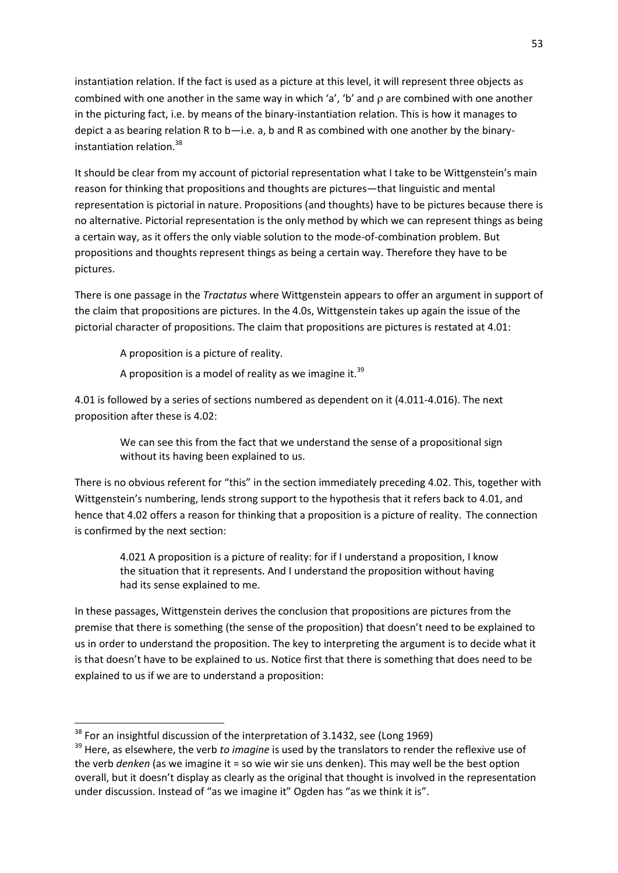instantiation relation. If the fact is used as a picture at this level, it will represent three objects as combined with one another in the same way in which 'a', 'b' and  $\rho$  are combined with one another in the picturing fact, i.e. by means of the binary-instantiation relation. This is how it manages to depict a as bearing relation R to b—i.e. a, b and R as combined with one another by the binaryinstantiation relation.<sup>38</sup>

It should be clear from my account of pictorial representation what I take to be Wittgenstein's main reason for thinking that propositions and thoughts are pictures—that linguistic and mental representation is pictorial in nature. Propositions (and thoughts) have to be pictures because there is no alternative. Pictorial representation is the only method by which we can represent things as being a certain way, as it offers the only viable solution to the mode-of-combination problem. But propositions and thoughts represent things as being a certain way. Therefore they have to be pictures.

There is one passage in the *Tractatus* where Wittgenstein appears to offer an argument in support of the claim that propositions are pictures. In the 4.0s, Wittgenstein takes up again the issue of the pictorial character of propositions. The claim that propositions are pictures is restated at 4.01:

A proposition is a picture of reality.

A proposition is a model of reality as we imagine it.<sup>39</sup>

4.01 is followed by a series of sections numbered as dependent on it (4.011-4.016). The next proposition after these is 4.02:

> We can see this from the fact that we understand the sense of a propositional sign without its having been explained to us.

There is no obvious referent for "this" in the section immediately preceding 4.02. This, together with Wittgenstein's numbering, lends strong support to the hypothesis that it refers back to 4.01, and hence that 4.02 offers a reason for thinking that a proposition is a picture of reality. The connection is confirmed by the next section:

4.021 A proposition is a picture of reality: for if I understand a proposition, I know the situation that it represents. And I understand the proposition without having had its sense explained to me.

In these passages, Wittgenstein derives the conclusion that propositions are pictures from the premise that there is something (the sense of the proposition) that doesn't need to be explained to us in order to understand the proposition. The key to interpreting the argument is to decide what it is that doesn't have to be explained to us. Notice first that there is something that does need to be explained to us if we are to understand a proposition:

<sup>&</sup>lt;sup>38</sup> For an insightful discussion of the interpretation of 3.1432, see [\(Long 1969\)](#page--1-9)

<sup>&</sup>lt;sup>39</sup> Here, as elsewhere, the verb *to imagine* is used by the translators to render the reflexive use of the verb *denken* (as we imagine it = so wie wir sie uns denken). This may well be the best option overall, but it doesn't display as clearly as the original that thought is involved in the representation under discussion. Instead of "as we imagine it" Ogden has "as we think it is".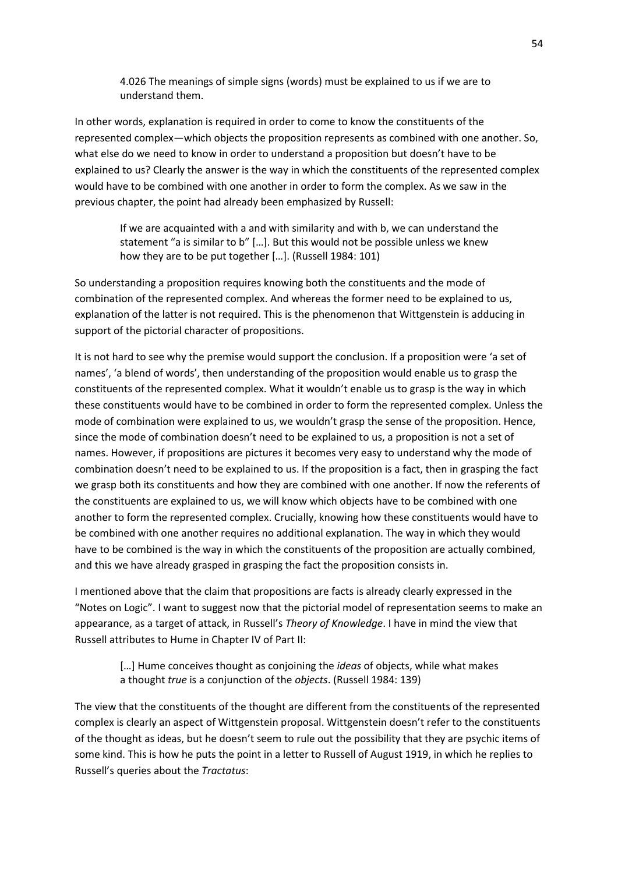4.026 The meanings of simple signs (words) must be explained to us if we are to understand them.

In other words, explanation is required in order to come to know the constituents of the represented complex—which objects the proposition represents as combined with one another. So, what else do we need to know in order to understand a proposition but doesn't have to be explained to us? Clearly the answer is the way in which the constituents of the represented complex would have to be combined with one another in order to form the complex. As we saw in the previous chapter, the point had already been emphasized by Russell:

If we are acquainted with a and with similarity and with b, we can understand the statement "a is similar to b" […]. But this would not be possible unless we knew how they are to be put together […]. [\(Russell 1984: 101\)](#page--1-4)

So understanding a proposition requires knowing both the constituents and the mode of combination of the represented complex. And whereas the former need to be explained to us, explanation of the latter is not required. This is the phenomenon that Wittgenstein is adducing in support of the pictorial character of propositions.

It is not hard to see why the premise would support the conclusion. If a proposition were 'a set of names', 'a blend of words', then understanding of the proposition would enable us to grasp the constituents of the represented complex. What it wouldn't enable us to grasp is the way in which these constituents would have to be combined in order to form the represented complex. Unless the mode of combination were explained to us, we wouldn't grasp the sense of the proposition. Hence, since the mode of combination doesn't need to be explained to us, a proposition is not a set of names. However, if propositions are pictures it becomes very easy to understand why the mode of combination doesn't need to be explained to us. If the proposition is a fact, then in grasping the fact we grasp both its constituents and how they are combined with one another. If now the referents of the constituents are explained to us, we will know which objects have to be combined with one another to form the represented complex. Crucially, knowing how these constituents would have to be combined with one another requires no additional explanation. The way in which they would have to be combined is the way in which the constituents of the proposition are actually combined, and this we have already grasped in grasping the fact the proposition consists in.

I mentioned above that the claim that propositions are facts is already clearly expressed in the "Notes on Logic". I want to suggest now that the pictorial model of representation seems to make an appearance, as a target of attack, in Russell's *Theory of Knowledge*. I have in mind the view that Russell attributes to Hume in Chapter IV of Part II:

[…] Hume conceives thought as conjoining the *ideas* of objects, while what makes a thought *true* is a conjunction of the *objects*. [\(Russell 1984: 139\)](#page--1-4)

The view that the constituents of the thought are different from the constituents of the represented complex is clearly an aspect of Wittgenstein proposal. Wittgenstein doesn't refer to the constituents of the thought as ideas, but he doesn't seem to rule out the possibility that they are psychic items of some kind. This is how he puts the point in a letter to Russell of August 1919, in which he replies to Russell's queries about the *Tractatus*: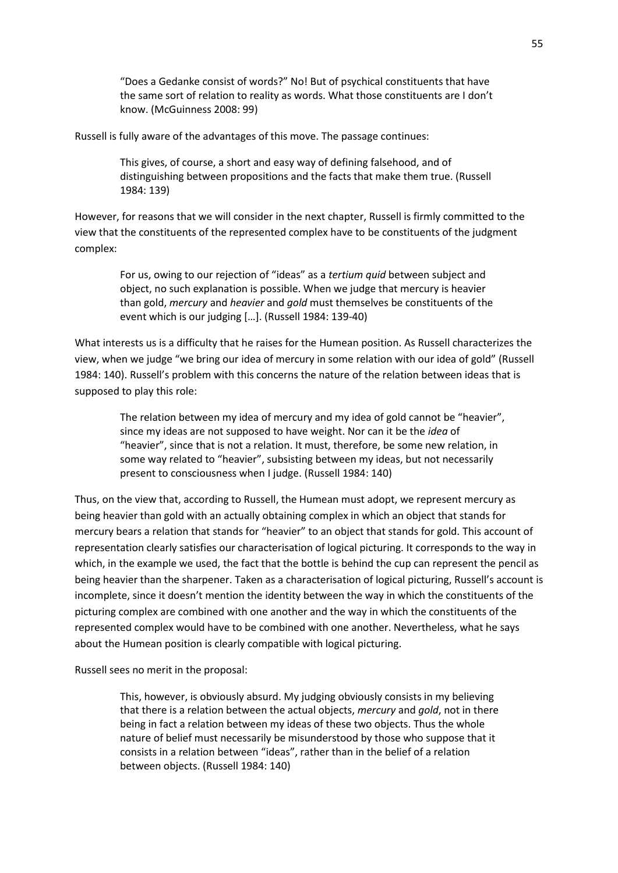"Does a Gedanke consist of words?" No! But of psychical constituents that have the same sort of relation to reality as words. What those constituents are I don't know. [\(McGuinness 2008: 99\)](#page--1-2)

Russell is fully aware of the advantages of this move. The passage continues:

This gives, of course, a short and easy way of defining falsehood, and of distinguishing between propositions and the facts that make them true. [\(Russell](#page--1-4)  [1984: 139\)](#page--1-4)

However, for reasons that we will consider in the next chapter, Russell is firmly committed to the view that the constituents of the represented complex have to be constituents of the judgment complex:

For us, owing to our rejection of "ideas" as a *tertium quid* between subject and object, no such explanation is possible. When we judge that mercury is heavier than gold, *mercury* and *heavier* and *gold* must themselves be constituents of the event which is our judging […]. [\(Russell 1984: 139-40\)](#page--1-4)

What interests us is a difficulty that he raises for the Humean position. As Russell characterizes the view, when we judge "we bring our idea of mercury in some relation with our idea of gold" [\(Russell](#page--1-4)  [1984: 140\)](#page--1-4). Russell's problem with this concerns the nature of the relation between ideas that is supposed to play this role:

The relation between my idea of mercury and my idea of gold cannot be "heavier", since my ideas are not supposed to have weight. Nor can it be the *idea* of "heavier", since that is not a relation. It must, therefore, be some new relation, in some way related to "heavier", subsisting between my ideas, but not necessarily present to consciousness when I judge. [\(Russell 1984: 140\)](#page--1-4)

Thus, on the view that, according to Russell, the Humean must adopt, we represent mercury as being heavier than gold with an actually obtaining complex in which an object that stands for mercury bears a relation that stands for "heavier" to an object that stands for gold. This account of representation clearly satisfies our characterisation of logical picturing. It corresponds to the way in which, in the example we used, the fact that the bottle is behind the cup can represent the pencil as being heavier than the sharpener. Taken as a characterisation of logical picturing, Russell's account is incomplete, since it doesn't mention the identity between the way in which the constituents of the picturing complex are combined with one another and the way in which the constituents of the represented complex would have to be combined with one another. Nevertheless, what he says about the Humean position is clearly compatible with logical picturing.

Russell sees no merit in the proposal:

This, however, is obviously absurd. My judging obviously consists in my believing that there is a relation between the actual objects, *mercury* and *gold*, not in there being in fact a relation between my ideas of these two objects. Thus the whole nature of belief must necessarily be misunderstood by those who suppose that it consists in a relation between "ideas", rather than in the belief of a relation between objects. [\(Russell 1984: 140\)](#page--1-4)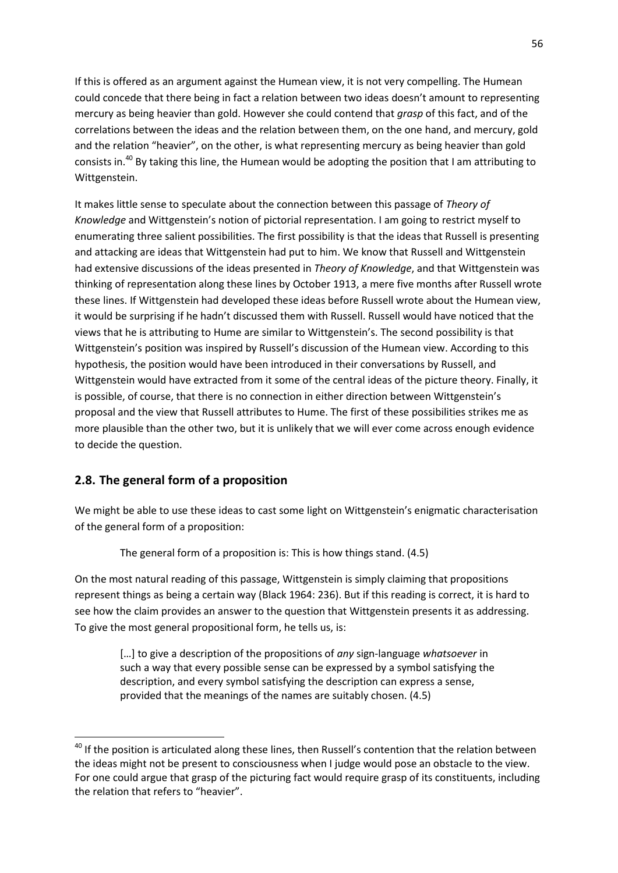If this is offered as an argument against the Humean view, it is not very compelling. The Humean could concede that there being in fact a relation between two ideas doesn't amount to representing mercury as being heavier than gold. However she could contend that *grasp* of this fact, and of the correlations between the ideas and the relation between them, on the one hand, and mercury, gold and the relation "heavier", on the other, is what representing mercury as being heavier than gold consists in.<sup>40</sup> By taking this line, the Humean would be adopting the position that I am attributing to Wittgenstein.

It makes little sense to speculate about the connection between this passage of *Theory of Knowledge* and Wittgenstein's notion of pictorial representation. I am going to restrict myself to enumerating three salient possibilities. The first possibility is that the ideas that Russell is presenting and attacking are ideas that Wittgenstein had put to him. We know that Russell and Wittgenstein had extensive discussions of the ideas presented in *Theory of Knowledge*, and that Wittgenstein was thinking of representation along these lines by October 1913, a mere five months after Russell wrote these lines. If Wittgenstein had developed these ideas before Russell wrote about the Humean view, it would be surprising if he hadn't discussed them with Russell. Russell would have noticed that the views that he is attributing to Hume are similar to Wittgenstein's. The second possibility is that Wittgenstein's position was inspired by Russell's discussion of the Humean view. According to this hypothesis, the position would have been introduced in their conversations by Russell, and Wittgenstein would have extracted from it some of the central ideas of the picture theory. Finally, it is possible, of course, that there is no connection in either direction between Wittgenstein's proposal and the view that Russell attributes to Hume. The first of these possibilities strikes me as more plausible than the other two, but it is unlikely that we will ever come across enough evidence to decide the question.

## **2.8. The general form of a proposition**

**.** 

We might be able to use these ideas to cast some light on Wittgenstein's enigmatic characterisation of the general form of a proposition:

The general form of a proposition is: This is how things stand. (4.5)

On the most natural reading of this passage, Wittgenstein is simply claiming that propositions represent things as being a certain way [\(Black 1964: 236\)](#page--1-12). But if this reading is correct, it is hard to see how the claim provides an answer to the question that Wittgenstein presents it as addressing. To give the most general propositional form, he tells us, is:

[…] to give a description of the propositions of *any* sign-language *whatsoever* in such a way that every possible sense can be expressed by a symbol satisfying the description, and every symbol satisfying the description can express a sense, provided that the meanings of the names are suitably chosen. (4.5)

<sup>&</sup>lt;sup>40</sup> If the position is articulated along these lines, then Russell's contention that the relation between the ideas might not be present to consciousness when I judge would pose an obstacle to the view. For one could argue that grasp of the picturing fact would require grasp of its constituents, including the relation that refers to "heavier".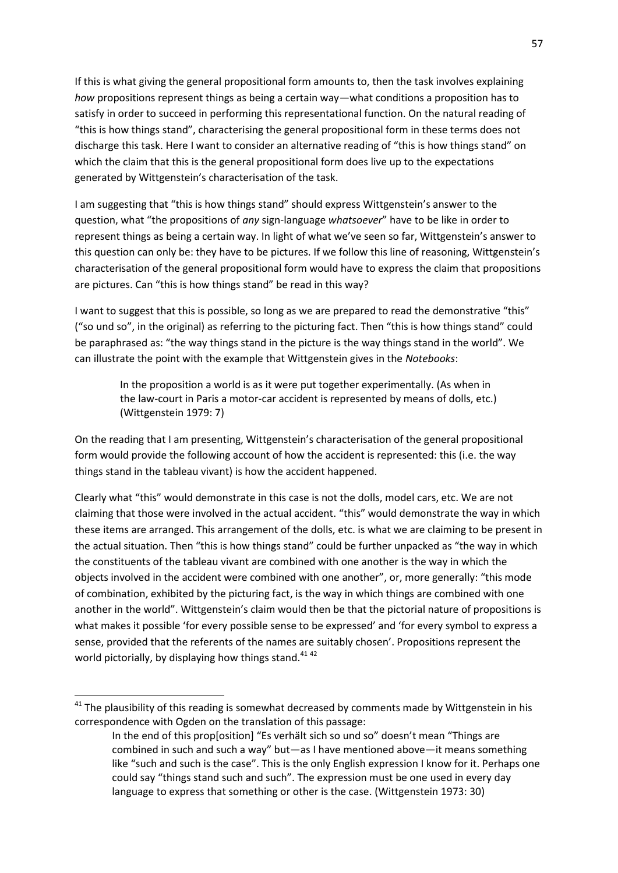If this is what giving the general propositional form amounts to, then the task involves explaining *how* propositions represent things as being a certain way—what conditions a proposition has to satisfy in order to succeed in performing this representational function. On the natural reading of "this is how things stand", characterising the general propositional form in these terms does not discharge this task. Here I want to consider an alternative reading of "this is how things stand" on which the claim that this is the general propositional form does live up to the expectations generated by Wittgenstein's characterisation of the task.

I am suggesting that "this is how things stand" should express Wittgenstein's answer to the question, what "the propositions of *any* sign-language *whatsoever*" have to be like in order to represent things as being a certain way. In light of what we've seen so far, Wittgenstein's answer to this question can only be: they have to be pictures. If we follow this line of reasoning, Wittgenstein's characterisation of the general propositional form would have to express the claim that propositions are pictures. Can "this is how things stand" be read in this way?

I want to suggest that this is possible, so long as we are prepared to read the demonstrative "this" ("so und so", in the original) as referring to the picturing fact. Then "this is how things stand" could be paraphrased as: "the way things stand in the picture is the way things stand in the world". We can illustrate the point with the example that Wittgenstein gives in the *Notebooks*:

In the proposition a world is as it were put together experimentally. (As when in the law-court in Paris a motor-car accident is represented by means of dolls, etc.) [\(Wittgenstein 1979: 7\)](#page--1-6)

On the reading that I am presenting, Wittgenstein's characterisation of the general propositional form would provide the following account of how the accident is represented: this (i.e. the way things stand in the tableau vivant) is how the accident happened.

Clearly what "this" would demonstrate in this case is not the dolls, model cars, etc. We are not claiming that those were involved in the actual accident. "this" would demonstrate the way in which these items are arranged. This arrangement of the dolls, etc. is what we are claiming to be present in the actual situation. Then "this is how things stand" could be further unpacked as "the way in which the constituents of the tableau vivant are combined with one another is the way in which the objects involved in the accident were combined with one another", or, more generally: "this mode of combination, exhibited by the picturing fact, is the way in which things are combined with one another in the world". Wittgenstein's claim would then be that the pictorial nature of propositions is what makes it possible 'for every possible sense to be expressed' and 'for every symbol to express a sense, provided that the referents of the names are suitably chosen'. Propositions represent the world pictorially, by displaying how things stand.<sup>41 42</sup>

 $41$  The plausibility of this reading is somewhat decreased by comments made by Wittgenstein in his correspondence with Ogden on the translation of this passage:

In the end of this prop[osition] "Es verhält sich so und so" doesn't mean "Things are combined in such and such a way" but—as I have mentioned above—it means something like "such and such is the case". This is the only English expression I know for it. Perhaps one could say "things stand such and such". The expression must be one used in every day language to express that something or other is the case. [\(Wittgenstein 1973: 30\)](#page--1-13)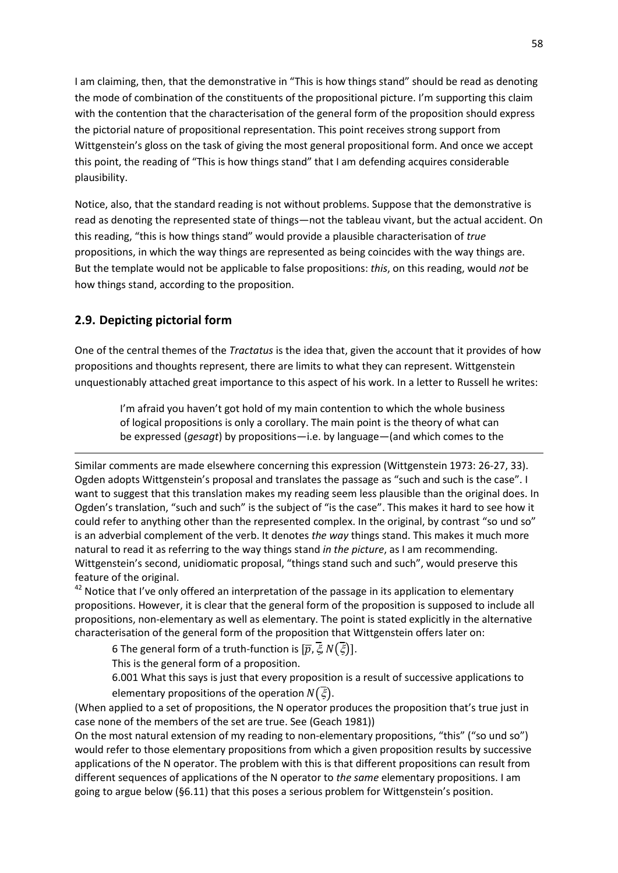I am claiming, then, that the demonstrative in "This is how things stand" should be read as denoting the mode of combination of the constituents of the propositional picture. I'm supporting this claim with the contention that the characterisation of the general form of the proposition should express the pictorial nature of propositional representation. This point receives strong support from Wittgenstein's gloss on the task of giving the most general propositional form. And once we accept this point, the reading of "This is how things stand" that I am defending acquires considerable plausibility.

Notice, also, that the standard reading is not without problems. Suppose that the demonstrative is read as denoting the represented state of things—not the tableau vivant, but the actual accident. On this reading, "this is how things stand" would provide a plausible characterisation of *true* propositions, in which the way things are represented as being coincides with the way things are. But the template would not be applicable to false propositions: *this*, on this reading, would *not* be how things stand, according to the proposition.

## **2.9. Depicting pictorial form**

**.** 

One of the central themes of the *Tractatus* is the idea that, given the account that it provides of how propositions and thoughts represent, there are limits to what they can represent. Wittgenstein unquestionably attached great importance to this aspect of his work. In a letter to Russell he writes:

I'm afraid you haven't got hold of my main contention to which the whole business of logical propositions is only a corollary. The main point is the theory of what can be expressed (*gesagt*) by propositions—i.e. by language—(and which comes to the

Similar comments are made elsewhere concerning this expression [\(Wittgenstein 1973: 26-27, 33\)](#page--1-13). Ogden adopts Wittgenstein's proposal and translates the passage as "such and such is the case". I want to suggest that this translation makes my reading seem less plausible than the original does. In Ogden's translation, "such and such" is the subject of "is the case". This makes it hard to see how it could refer to anything other than the represented complex. In the original, by contrast "so und so" is an adverbial complement of the verb. It denotes *the way* things stand. This makes it much more natural to read it as referring to the way things stand *in the picture*, as I am recommending. Wittgenstein's second, unidiomatic proposal, "things stand such and such", would preserve this feature of the original.

 $42$  Notice that I've only offered an interpretation of the passage in its application to elementary propositions. However, it is clear that the general form of the proposition is supposed to include all propositions, non-elementary as well as elementary. The point is stated explicitly in the alternative characterisation of the general form of the proposition that Wittgenstein offers later on:

6 The general form of a truth-function is  $[\overline{p}, \overline{\xi}, N(\overline{\xi})]$ .

This is the general form of a proposition.

6.001 What this says is just that every proposition is a result of successive applications to elementary propositions of the operation  $N(\xi)$ .

(When applied to a set of propositions, the N operator produces the proposition that's true just in case none of the members of the set are true. See [\(Geach 1981\)](#page--1-14))

On the most natural extension of my reading to non-elementary propositions, "this" ("so und so") would refer to those elementary propositions from which a given proposition results by successive applications of the N operator. The problem with this is that different propositions can result from different sequences of applications of the N operator to *the same* elementary propositions. I am going to argue below ([§6.11](#page--1-15)) that this poses a serious problem for Wittgenstein's position.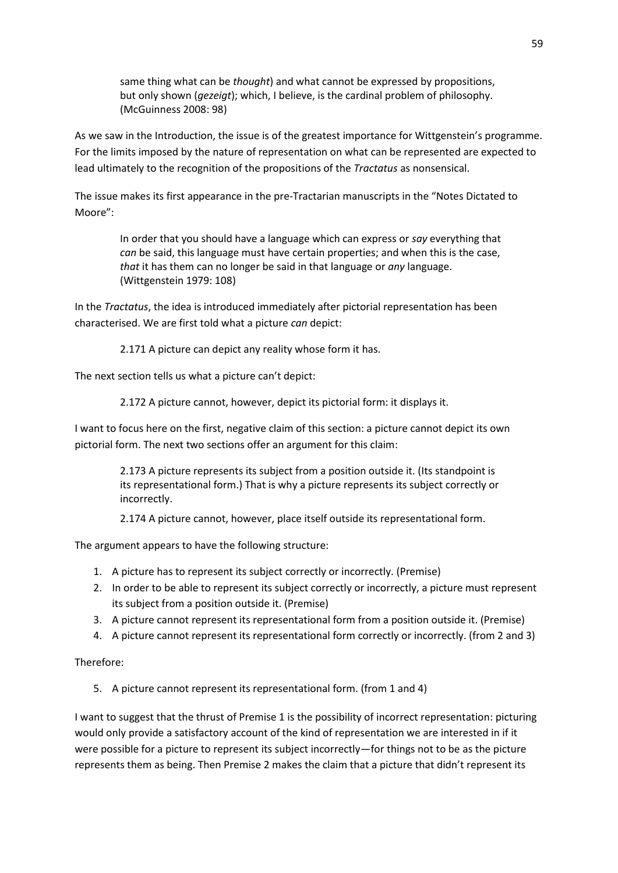same thing what can be *thought*) and what cannot be expressed by propositions, but only shown (*gezeigt*); which, I believe, is the cardinal problem of philosophy. [\(McGuinness 2008: 98\)](#page--1-2)

As we saw in the Introduction, the issue is of the greatest importance for Wittgenstein's programme. For the limits imposed by the nature of representation on what can be represented are expected to lead ultimately to the recognition of the propositions of the *Tractatus* as nonsensical.

The issue makes its first appearance in the pre-Tractarian manuscripts in the "Notes Dictated to Moore":

> In order that you should have a language which can express or *say* everything that *can* be said, this language must have certain properties; and when this is the case, *that* it has them can no longer be said in that language or *any* language. [\(Wittgenstein 1979: 108\)](#page--1-6)

In the *Tractatus*, the idea is introduced immediately after pictorial representation has been characterised. We are first told what a picture *can* depict:

2.171 A picture can depict any reality whose form it has.

The next section tells us what a picture can't depict:

2.172 A picture cannot, however, depict its pictorial form: it displays it.

I want to focus here on the first, negative claim of this section: a picture cannot depict its own pictorial form. The next two sections offer an argument for this claim:

> 2.173 A picture represents its subject from a position outside it. (Its standpoint is its representational form.) That is why a picture represents its subject correctly or incorrectly.

2.174 A picture cannot, however, place itself outside its representational form.

The argument appears to have the following structure:

- 1. A picture has to represent its subject correctly or incorrectly. (Premise)
- 2. In order to be able to represent its subject correctly or incorrectly, a picture must represent its subject from a position outside it. (Premise)
- 3. A picture cannot represent its representational form from a position outside it. (Premise)
- 4. A picture cannot represent its representational form correctly or incorrectly. (from 2 and 3)

Therefore:

5. A picture cannot represent its representational form. (from 1 and 4)

I want to suggest that the thrust of Premise 1 is the possibility of incorrect representation: picturing would only provide a satisfactory account of the kind of representation we are interested in if it were possible for a picture to represent its subject incorrectly—for things not to be as the picture represents them as being. Then Premise 2 makes the claim that a picture that didn't represent its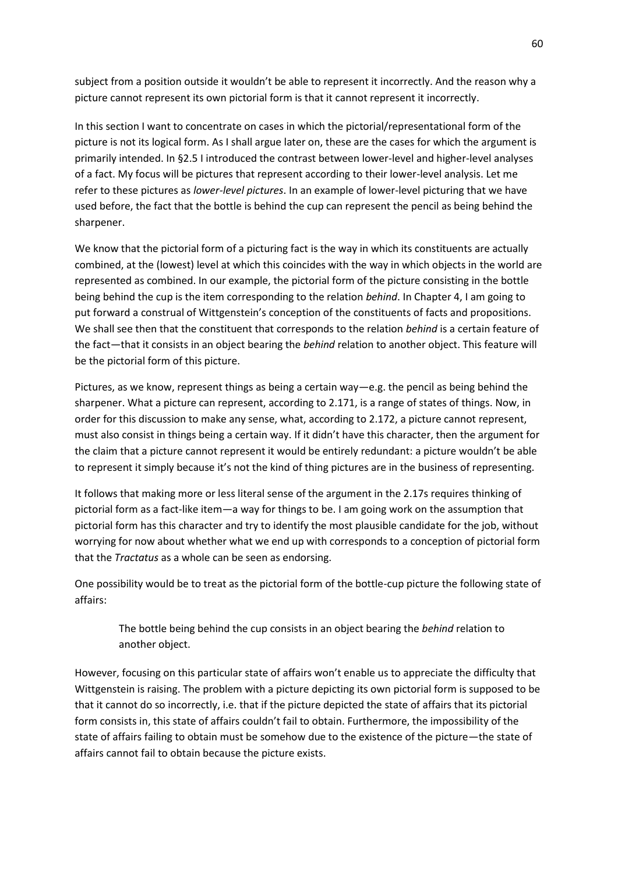subject from a position outside it wouldn't be able to represent it incorrectly. And the reason why a picture cannot represent its own pictorial form is that it cannot represent it incorrectly.

In this section I want to concentrate on cases in which the pictorial/representational form of the picture is not its logical form. As I shall argue later on, these are the cases for which the argument is primarily intended. In [§2.5](#page-12-0) I introduced the contrast between lower-level and higher-level analyses of a fact. My focus will be pictures that represent according to their lower-level analysis. Let me refer to these pictures as *lower-level pictures*. In an example of lower-level picturing that we have used before, the fact that the bottle is behind the cup can represent the pencil as being behind the sharpener.

We know that the pictorial form of a picturing fact is the way in which its constituents are actually combined, at the (lowest) level at which this coincides with the way in which objects in the world are represented as combined. In our example, the pictorial form of the picture consisting in the bottle being behind the cup is the item corresponding to the relation *behind*. In Chapter 4, I am going to put forward a construal of Wittgenstein's conception of the constituents of facts and propositions. We shall see then that the constituent that corresponds to the relation *behind* is a certain feature of the fact—that it consists in an object bearing the *behind* relation to another object. This feature will be the pictorial form of this picture.

Pictures, as we know, represent things as being a certain way—e.g. the pencil as being behind the sharpener. What a picture can represent, according to 2.171, is a range of states of things. Now, in order for this discussion to make any sense, what, according to 2.172, a picture cannot represent, must also consist in things being a certain way. If it didn't have this character, then the argument for the claim that a picture cannot represent it would be entirely redundant: a picture wouldn't be able to represent it simply because it's not the kind of thing pictures are in the business of representing.

It follows that making more or less literal sense of the argument in the 2.17s requires thinking of pictorial form as a fact-like item—a way for things to be. I am going work on the assumption that pictorial form has this character and try to identify the most plausible candidate for the job, without worrying for now about whether what we end up with corresponds to a conception of pictorial form that the *Tractatus* as a whole can be seen as endorsing.

One possibility would be to treat as the pictorial form of the bottle-cup picture the following state of affairs:

The bottle being behind the cup consists in an object bearing the *behind* relation to another object.

However, focusing on this particular state of affairs won't enable us to appreciate the difficulty that Wittgenstein is raising. The problem with a picture depicting its own pictorial form is supposed to be that it cannot do so incorrectly, i.e. that if the picture depicted the state of affairs that its pictorial form consists in, this state of affairs couldn't fail to obtain. Furthermore, the impossibility of the state of affairs failing to obtain must be somehow due to the existence of the picture—the state of affairs cannot fail to obtain because the picture exists.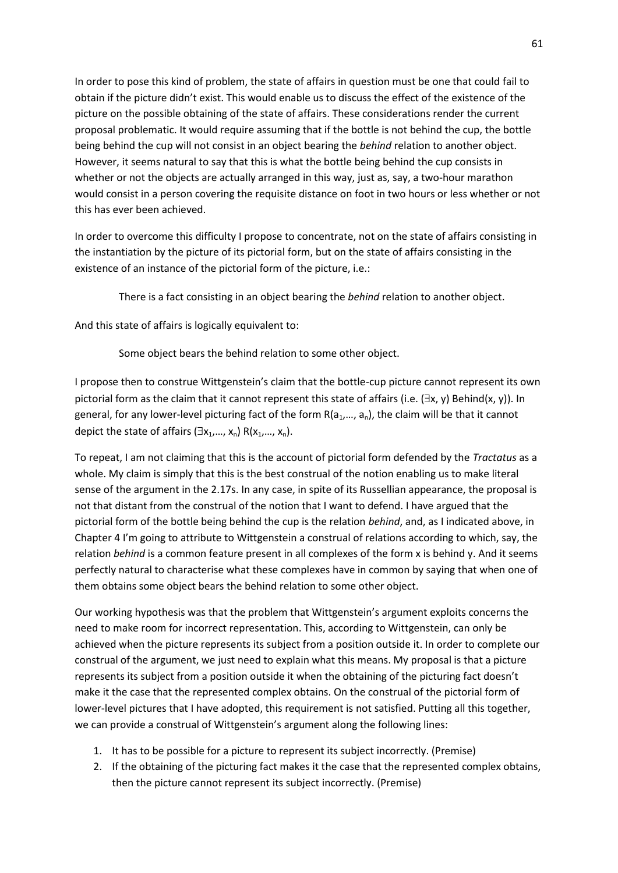In order to pose this kind of problem, the state of affairs in question must be one that could fail to obtain if the picture didn't exist. This would enable us to discuss the effect of the existence of the picture on the possible obtaining of the state of affairs. These considerations render the current proposal problematic. It would require assuming that if the bottle is not behind the cup, the bottle being behind the cup will not consist in an object bearing the *behind* relation to another object. However, it seems natural to say that this is what the bottle being behind the cup consists in whether or not the objects are actually arranged in this way, just as, say, a two-hour marathon would consist in a person covering the requisite distance on foot in two hours or less whether or not this has ever been achieved.

In order to overcome this difficulty I propose to concentrate, not on the state of affairs consisting in the instantiation by the picture of its pictorial form, but on the state of affairs consisting in the existence of an instance of the pictorial form of the picture, i.e.:

There is a fact consisting in an object bearing the *behind* relation to another object.

And this state of affairs is logically equivalent to:

Some object bears the behind relation to some other object.

I propose then to construe Wittgenstein's claim that the bottle-cup picture cannot represent its own pictorial form as the claim that it cannot represent this state of affairs (i.e.  $(\exists x, y)$  Behind(x, y)). In general, for any lower-level picturing fact of the form  $R(a_1,..., a_n)$ , the claim will be that it cannot depict the state of affairs  $(\exists x_1,..., x_n)$  R( $x_1,..., x_n$ ).

To repeat, I am not claiming that this is the account of pictorial form defended by the *Tractatus* as a whole. My claim is simply that this is the best construal of the notion enabling us to make literal sense of the argument in the 2.17s. In any case, in spite of its Russellian appearance, the proposal is not that distant from the construal of the notion that I want to defend. I have argued that the pictorial form of the bottle being behind the cup is the relation *behind*, and, as I indicated above, in Chapter 4 I'm going to attribute to Wittgenstein a construal of relations according to which, say, the relation *behind* is a common feature present in all complexes of the form x is behind y. And it seems perfectly natural to characterise what these complexes have in common by saying that when one of them obtains some object bears the behind relation to some other object.

Our working hypothesis was that the problem that Wittgenstein's argument exploits concerns the need to make room for incorrect representation. This, according to Wittgenstein, can only be achieved when the picture represents its subject from a position outside it. In order to complete our construal of the argument, we just need to explain what this means. My proposal is that a picture represents its subject from a position outside it when the obtaining of the picturing fact doesn't make it the case that the represented complex obtains. On the construal of the pictorial form of lower-level pictures that I have adopted, this requirement is not satisfied. Putting all this together, we can provide a construal of Wittgenstein's argument along the following lines:

- 1. It has to be possible for a picture to represent its subject incorrectly. (Premise)
- 2. If the obtaining of the picturing fact makes it the case that the represented complex obtains, then the picture cannot represent its subject incorrectly. (Premise)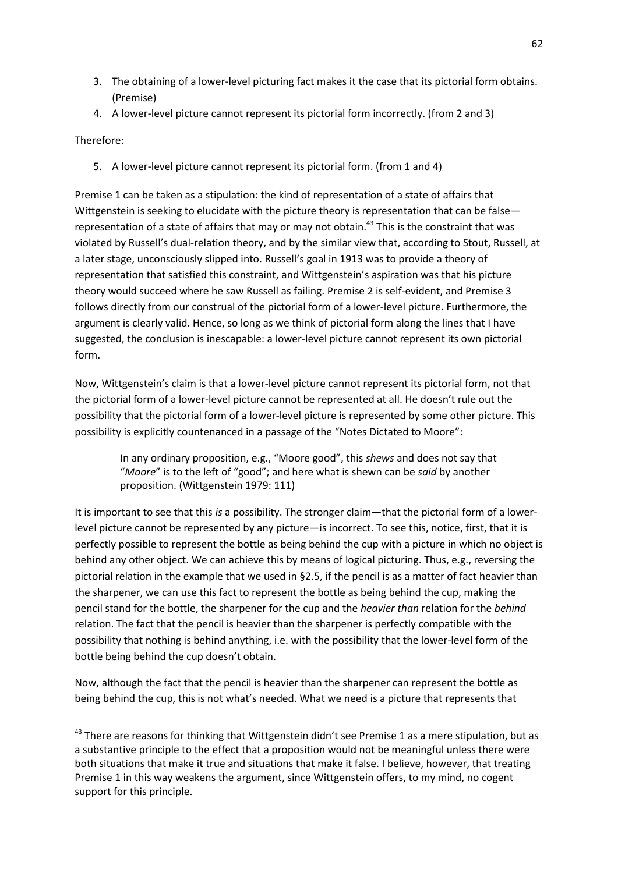- 3. The obtaining of a lower-level picturing fact makes it the case that its pictorial form obtains. (Premise)
- 4. A lower-level picture cannot represent its pictorial form incorrectly. (from 2 and 3)

Therefore:

**.** 

5. A lower-level picture cannot represent its pictorial form. (from 1 and 4)

Premise 1 can be taken as a stipulation: the kind of representation of a state of affairs that Wittgenstein is seeking to elucidate with the picture theory is representation that can be falserepresentation of a state of affairs that may or may not obtain.<sup>43</sup> This is the constraint that was violated by Russell's dual-relation theory, and by the similar view that, according to Stout, Russell, at a later stage, unconsciously slipped into. Russell's goal in 1913 was to provide a theory of representation that satisfied this constraint, and Wittgenstein's aspiration was that his picture theory would succeed where he saw Russell as failing. Premise 2 is self-evident, and Premise 3 follows directly from our construal of the pictorial form of a lower-level picture. Furthermore, the argument is clearly valid. Hence, so long as we think of pictorial form along the lines that I have suggested, the conclusion is inescapable: a lower-level picture cannot represent its own pictorial form.

Now, Wittgenstein's claim is that a lower-level picture cannot represent its pictorial form, not that the pictorial form of a lower-level picture cannot be represented at all. He doesn't rule out the possibility that the pictorial form of a lower-level picture is represented by some other picture. This possibility is explicitly countenanced in a passage of the "Notes Dictated to Moore":

In any ordinary proposition, e.g., "Moore good", this *shews* and does not say that "*Moore*" is to the left of "good"; and here what is shewn can be *said* by another proposition. [\(Wittgenstein 1979: 111\)](#page--1-6)

It is important to see that this *is* a possibility. The stronger claim—that the pictorial form of a lowerlevel picture cannot be represented by any picture—is incorrect. To see this, notice, first, that it is perfectly possible to represent the bottle as being behind the cup with a picture in which no object is behind any other object. We can achieve this by means of logical picturing. Thus, e.g., reversing the pictorial relation in the example that we used in [§2.5,](#page-12-0) if the pencil is as a matter of fact heavier than the sharpener, we can use this fact to represent the bottle as being behind the cup, making the pencil stand for the bottle, the sharpener for the cup and the *heavier than* relation for the *behind* relation. The fact that the pencil is heavier than the sharpener is perfectly compatible with the possibility that nothing is behind anything, i.e. with the possibility that the lower-level form of the bottle being behind the cup doesn't obtain.

Now, although the fact that the pencil is heavier than the sharpener can represent the bottle as being behind the cup, this is not what's needed. What we need is a picture that represents that

<sup>&</sup>lt;sup>43</sup> There are reasons for thinking that Wittgenstein didn't see Premise 1 as a mere stipulation, but as a substantive principle to the effect that a proposition would not be meaningful unless there were both situations that make it true and situations that make it false. I believe, however, that treating Premise 1 in this way weakens the argument, since Wittgenstein offers, to my mind, no cogent support for this principle.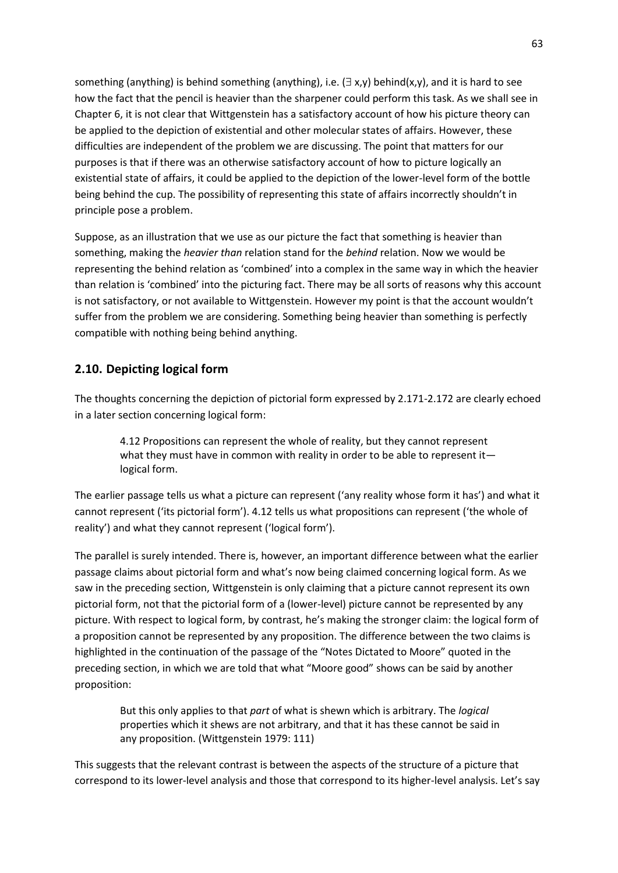something (anything) is behind something (anything), i.e.  $(\exists x,y)$  behind(x,y), and it is hard to see how the fact that the pencil is heavier than the sharpener could perform this task. As we shall see in Chapter 6, it is not clear that Wittgenstein has a satisfactory account of how his picture theory can be applied to the depiction of existential and other molecular states of affairs. However, these difficulties are independent of the problem we are discussing. The point that matters for our purposes is that if there was an otherwise satisfactory account of how to picture logically an existential state of affairs, it could be applied to the depiction of the lower-level form of the bottle being behind the cup. The possibility of representing this state of affairs incorrectly shouldn't in principle pose a problem.

Suppose, as an illustration that we use as our picture the fact that something is heavier than something, making the *heavier than* relation stand for the *behind* relation. Now we would be representing the behind relation as 'combined' into a complex in the same way in which the heavier than relation is 'combined' into the picturing fact. There may be all sorts of reasons why this account is not satisfactory, or not available to Wittgenstein. However my point is that the account wouldn't suffer from the problem we are considering. Something being heavier than something is perfectly compatible with nothing being behind anything.

## **2.10. Depicting logical form**

The thoughts concerning the depiction of pictorial form expressed by 2.171-2.172 are clearly echoed in a later section concerning logical form:

4.12 Propositions can represent the whole of reality, but they cannot represent what they must have in common with reality in order to be able to represent it logical form.

The earlier passage tells us what a picture can represent ('any reality whose form it has') and what it cannot represent ('its pictorial form'). 4.12 tells us what propositions can represent ('the whole of reality') and what they cannot represent ('logical form').

The parallel is surely intended. There is, however, an important difference between what the earlier passage claims about pictorial form and what's now being claimed concerning logical form. As we saw in the preceding section, Wittgenstein is only claiming that a picture cannot represent its own pictorial form, not that the pictorial form of a (lower-level) picture cannot be represented by any picture. With respect to logical form, by contrast, he's making the stronger claim: the logical form of a proposition cannot be represented by any proposition. The difference between the two claims is highlighted in the continuation of the passage of the "Notes Dictated to Moore" quoted in the preceding section, in which we are told that what "Moore good" shows can be said by another proposition:

But this only applies to that *part* of what is shewn which is arbitrary. The *logical* properties which it shews are not arbitrary, and that it has these cannot be said in any proposition. [\(Wittgenstein 1979: 111\)](#page--1-6)

This suggests that the relevant contrast is between the aspects of the structure of a picture that correspond to its lower-level analysis and those that correspond to its higher-level analysis. Let's say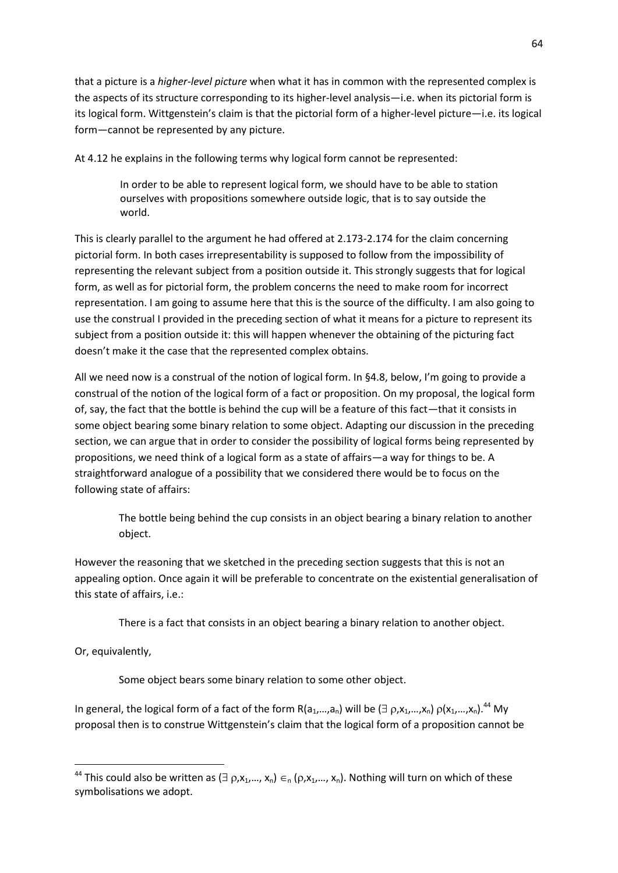that a picture is a *higher-level picture* when what it has in common with the represented complex is the aspects of its structure corresponding to its higher-level analysis—i.e. when its pictorial form is its logical form. Wittgenstein's claim is that the pictorial form of a higher-level picture—i.e. its logical form—cannot be represented by any picture.

At 4.12 he explains in the following terms why logical form cannot be represented:

In order to be able to represent logical form, we should have to be able to station ourselves with propositions somewhere outside logic, that is to say outside the world.

This is clearly parallel to the argument he had offered at 2.173-2.174 for the claim concerning pictorial form. In both cases irrepresentability is supposed to follow from the impossibility of representing the relevant subject from a position outside it. This strongly suggests that for logical form, as well as for pictorial form, the problem concerns the need to make room for incorrect representation. I am going to assume here that this is the source of the difficulty. I am also going to use the construal I provided in the preceding section of what it means for a picture to represent its subject from a position outside it: this will happen whenever the obtaining of the picturing fact doesn't make it the case that the represented complex obtains.

All we need now is a construal of the notion of logical form. In [§4.8](#page--1-16), below, I'm going to provide a construal of the notion of the logical form of a fact or proposition. On my proposal, the logical form of, say, the fact that the bottle is behind the cup will be a feature of this fact—that it consists in some object bearing some binary relation to some object. Adapting our discussion in the preceding section, we can argue that in order to consider the possibility of logical forms being represented by propositions, we need think of a logical form as a state of affairs—a way for things to be. A straightforward analogue of a possibility that we considered there would be to focus on the following state of affairs:

The bottle being behind the cup consists in an object bearing a binary relation to another object.

However the reasoning that we sketched in the preceding section suggests that this is not an appealing option. Once again it will be preferable to concentrate on the existential generalisation of this state of affairs, i.e.:

There is a fact that consists in an object bearing a binary relation to another object.

Or, equivalently,

1

Some object bears some binary relation to some other object.

In general, the logical form of a fact of the form R( $a_1,...,a_n$ ) will be  $(\exists \rho,x_1,...,x_n) \rho(x_1,...,x_n)$ .<sup>44</sup> My proposal then is to construe Wittgenstein's claim that the logical form of a proposition cannot be

<sup>&</sup>lt;sup>44</sup> This could also be written as  $(\exists \rho,x_1,..., x_n) \in_n (\rho,x_1,..., x_n)$ . Nothing will turn on which of these symbolisations we adopt.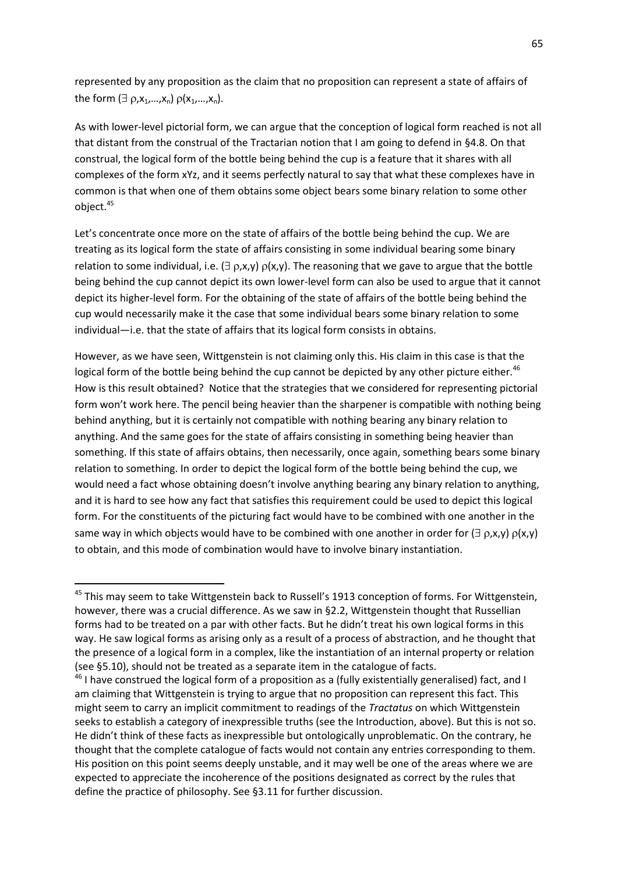represented by any proposition as the claim that no proposition can represent a state of affairs of the form  $(\exists \rho,x_1,...,x_n) \rho(x_1,...,x_n)$ .

As with lower-level pictorial form, we can argue that the conception of logical form reached is not all that distant from the construal of the Tractarian notion that I am going to defend in §4.8. On that construal, the logical form of the bottle being behind the cup is a feature that it shares with all complexes of the form xYz, and it seems perfectly natural to say that what these complexes have in common is that when one of them obtains some object bears some binary relation to some other object.<sup>45</sup>

Let's concentrate once more on the state of affairs of the bottle being behind the cup. We are treating as its logical form the state of affairs consisting in some individual bearing some binary relation to some individual, i.e.  $(\exists \rho, x,y) \rho(x,y)$ . The reasoning that we gave to argue that the bottle being behind the cup cannot depict its own lower-level form can also be used to argue that it cannot depict its higher-level form. For the obtaining of the state of affairs of the bottle being behind the cup would necessarily make it the case that some individual bears some binary relation to some individual—i.e. that the state of affairs that its logical form consists in obtains.

However, as we have seen, Wittgenstein is not claiming only this. His claim in this case is that the logical form of the bottle being behind the cup cannot be depicted by any other picture either.<sup>46</sup> How is this result obtained? Notice that the strategies that we considered for representing pictorial form won't work here. The pencil being heavier than the sharpener is compatible with nothing being behind anything, but it is certainly not compatible with nothing bearing any binary relation to anything. And the same goes for the state of affairs consisting in something being heavier than something. If this state of affairs obtains, then necessarily, once again, something bears some binary relation to something. In order to depict the logical form of the bottle being behind the cup, we would need a fact whose obtaining doesn't involve anything bearing any binary relation to anything, and it is hard to see how any fact that satisfies this requirement could be used to depict this logical form. For the constituents of the picturing fact would have to be combined with one another in the same way in which objects would have to be combined with one another in order for  $(\exists \rho, x, y) \rho(x, y)$ to obtain, and this mode of combination would have to involve binary instantiation.

<sup>&</sup>lt;sup>45</sup> This may seem to take Wittgenstein back to Russell's 1913 conception of forms. For Wittgenstein, however, there was a crucial difference. As we saw in §2.2, Wittgenstein thought that Russellian forms had to be treated on a par with other facts. But he didn't treat his own logical forms in this way. He saw logical forms as arising only as a result of a process of abstraction, and he thought that the presence of a logical form in a complex, like the instantiation of an internal property or relation (see §5.10), should not be treated as a separate item in the catalogue of facts.

<sup>&</sup>lt;sup>46</sup> I have construed the logical form of a proposition as a (fully existentially generalised) fact, and I am claiming that Wittgenstein is trying to argue that no proposition can represent this fact. This might seem to carry an implicit commitment to readings of the *Tractatus* on which Wittgenstein seeks to establish a category of inexpressible truths (see the Introduction, above). But this is not so. He didn't think of these facts as inexpressible but ontologically unproblematic. On the contrary, he thought that the complete catalogue of facts would not contain any entries corresponding to them. His position on this point seems deeply unstable, and it may well be one of the areas where we are expected to appreciate the incoherence of the positions designated as correct by the rules that define the practice of philosophy. See §3.11 for further discussion.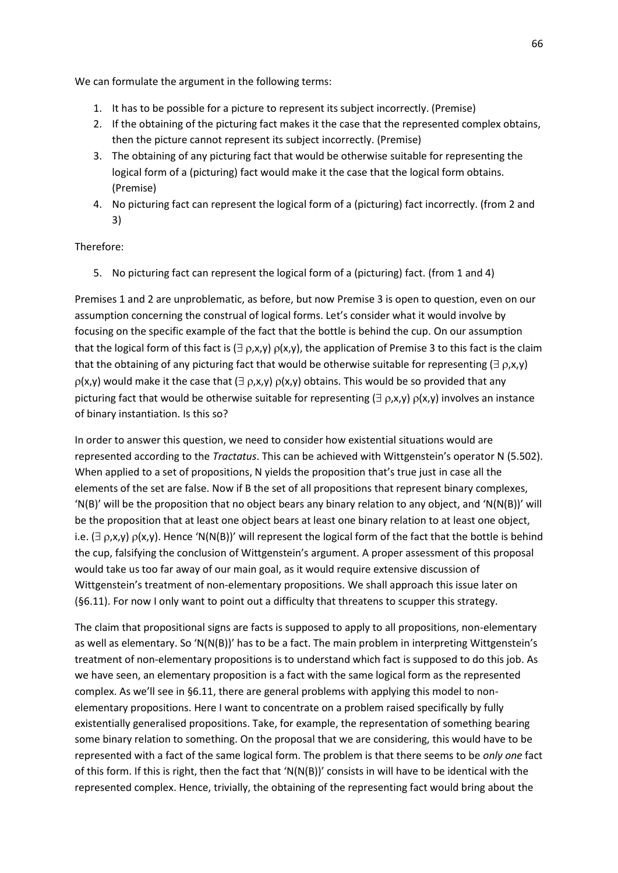We can formulate the argument in the following terms:

- 1. It has to be possible for a picture to represent its subject incorrectly. (Premise)
- 2. If the obtaining of the picturing fact makes it the case that the represented complex obtains, then the picture cannot represent its subject incorrectly. (Premise)
- 3. The obtaining of any picturing fact that would be otherwise suitable for representing the logical form of a (picturing) fact would make it the case that the logical form obtains. (Premise)
- 4. No picturing fact can represent the logical form of a (picturing) fact incorrectly. (from 2 and 3)

### Therefore:

5. No picturing fact can represent the logical form of a (picturing) fact. (from 1 and 4)

Premises 1 and 2 are unproblematic, as before, but now Premise 3 is open to question, even on our assumption concerning the construal of logical forms. Let's consider what it would involve by focusing on the specific example of the fact that the bottle is behind the cup. On our assumption that the logical form of this fact is  $(\exists \rho, x,y) \rho(x,y)$ , the application of Premise 3 to this fact is the claim that the obtaining of any picturing fact that would be otherwise suitable for representing  $(\exists \rho, x, y)$  $p(x,y)$  would make it the case that  $(\exists p,x,y) p(x,y)$  obtains. This would be so provided that any picturing fact that would be otherwise suitable for representing  $(\exists \rho, x,y) \rho(x,y)$  involves an instance of binary instantiation. Is this so?

In order to answer this question, we need to consider how existential situations would are represented according to the *Tractatus*. This can be achieved with Wittgenstein's operator N (5.502). When applied to a set of propositions, N yields the proposition that's true just in case all the elements of the set are false. Now if B the set of all propositions that represent binary complexes, 'N(B)' will be the proposition that no object bears any binary relation to any object, and 'N(N(B))' will be the proposition that at least one object bears at least one binary relation to at least one object, i.e.  $(\exists \rho, x,y) \rho(x,y)$ . Hence 'N(N(B))' will represent the logical form of the fact that the bottle is behind the cup, falsifying the conclusion of Wittgenstein's argument. A proper assessment of this proposal would take us too far away of our main goal, as it would require extensive discussion of Wittgenstein's treatment of non-elementary propositions. We shall approach this issue later on ([§6.11\)](#page--1-15). For now I only want to point out a difficulty that threatens to scupper this strategy.

The claim that propositional signs are facts is supposed to apply to all propositions, non-elementary as well as elementary. So 'N(N(B))' has to be a fact. The main problem in interpreting Wittgenstein's treatment of non-elementary propositions is to understand which fact is supposed to do this job. As we have seen, an elementary proposition is a fact with the same logical form as the represented complex. As we'll see in §[6.11,](#page--1-15) there are general problems with applying this model to nonelementary propositions. Here I want to concentrate on a problem raised specifically by fully existentially generalised propositions. Take, for example, the representation of something bearing some binary relation to something. On the proposal that we are considering, this would have to be represented with a fact of the same logical form. The problem is that there seems to be *only one* fact of this form. If this is right, then the fact that 'N(N(B))' consists in will have to be identical with the represented complex. Hence, trivially, the obtaining of the representing fact would bring about the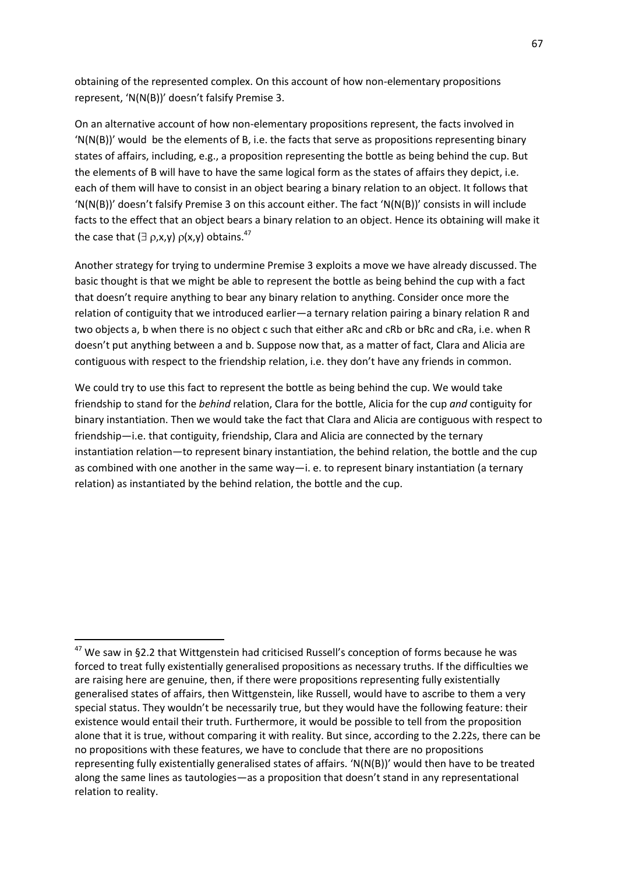obtaining of the represented complex. On this account of how non-elementary propositions represent, 'N(N(B))' doesn't falsify Premise 3.

On an alternative account of how non-elementary propositions represent, the facts involved in  $'N(N(B))'$  would be the elements of B, i.e. the facts that serve as propositions representing binary states of affairs, including, e.g., a proposition representing the bottle as being behind the cup. But the elements of B will have to have the same logical form as the states of affairs they depict, i.e. each of them will have to consist in an object bearing a binary relation to an object. It follows that 'N(N(B))' doesn't falsify Premise 3 on this account either. The fact 'N(N(B))' consists in will include facts to the effect that an object bears a binary relation to an object. Hence its obtaining will make it the case that  $(\exists \rho, x, y) \rho(x, y)$  obtains.<sup>47</sup>

Another strategy for trying to undermine Premise 3 exploits a move we have already discussed. The basic thought is that we might be able to represent the bottle as being behind the cup with a fact that doesn't require anything to bear any binary relation to anything. Consider once more the relation of contiguity that we introduced earlier—a ternary relation pairing a binary relation R and two objects a, b when there is no object c such that either aRc and cRb or bRc and cRa, i.e. when R doesn't put anything between a and b. Suppose now that, as a matter of fact, Clara and Alicia are contiguous with respect to the friendship relation, i.e. they don't have any friends in common.

We could try to use this fact to represent the bottle as being behind the cup. We would take friendship to stand for the *behind* relation, Clara for the bottle, Alicia for the cup *and* contiguity for binary instantiation. Then we would take the fact that Clara and Alicia are contiguous with respect to friendship—i.e. that contiguity, friendship, Clara and Alicia are connected by the ternary instantiation relation—to represent binary instantiation, the behind relation, the bottle and the cup as combined with one another in the same way—i. e. to represent binary instantiation (a ternary relation) as instantiated by the behind relation, the bottle and the cup.

1

 $47$  We saw in [§2.2](#page-1-0) that Wittgenstein had criticised Russell's conception of forms because he was forced to treat fully existentially generalised propositions as necessary truths. If the difficulties we are raising here are genuine, then, if there were propositions representing fully existentially generalised states of affairs, then Wittgenstein, like Russell, would have to ascribe to them a very special status. They wouldn't be necessarily true, but they would have the following feature: their existence would entail their truth. Furthermore, it would be possible to tell from the proposition alone that it is true, without comparing it with reality. But since, according to the 2.22s, there can be no propositions with these features, we have to conclude that there are no propositions representing fully existentially generalised states of affairs. 'N(N(B))' would then have to be treated along the same lines as tautologies—as a proposition that doesn't stand in any representational relation to reality.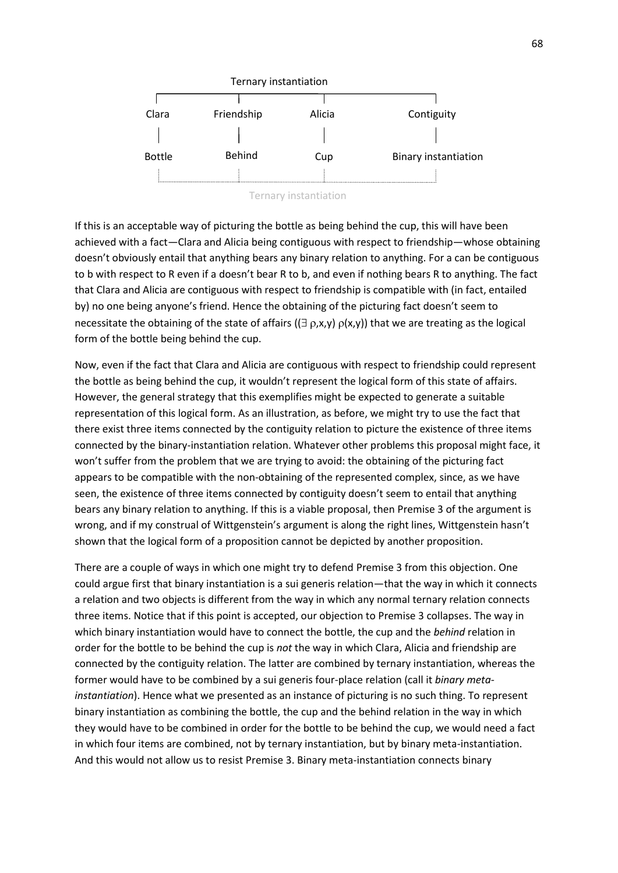

Ternary instantiation

If this is an acceptable way of picturing the bottle as being behind the cup, this will have been achieved with a fact—Clara and Alicia being contiguous with respect to friendship—whose obtaining doesn't obviously entail that anything bears any binary relation to anything. For a can be contiguous to b with respect to R even if a doesn't bear R to b, and even if nothing bears R to anything. The fact that Clara and Alicia are contiguous with respect to friendship is compatible with (in fact, entailed by) no one being anyone's friend. Hence the obtaining of the picturing fact doesn't seem to necessitate the obtaining of the state of affairs  $(\exists p, x, y) p(x, y)$  that we are treating as the logical form of the bottle being behind the cup.

Now, even if the fact that Clara and Alicia are contiguous with respect to friendship could represent the bottle as being behind the cup, it wouldn't represent the logical form of this state of affairs. However, the general strategy that this exemplifies might be expected to generate a suitable representation of this logical form. As an illustration, as before, we might try to use the fact that there exist three items connected by the contiguity relation to picture the existence of three items connected by the binary-instantiation relation. Whatever other problems this proposal might face, it won't suffer from the problem that we are trying to avoid: the obtaining of the picturing fact appears to be compatible with the non-obtaining of the represented complex, since, as we have seen, the existence of three items connected by contiguity doesn't seem to entail that anything bears any binary relation to anything. If this is a viable proposal, then Premise 3 of the argument is wrong, and if my construal of Wittgenstein's argument is along the right lines, Wittgenstein hasn't shown that the logical form of a proposition cannot be depicted by another proposition.

There are a couple of ways in which one might try to defend Premise 3 from this objection. One could argue first that binary instantiation is a sui generis relation—that the way in which it connects a relation and two objects is different from the way in which any normal ternary relation connects three items. Notice that if this point is accepted, our objection to Premise 3 collapses. The way in which binary instantiation would have to connect the bottle, the cup and the *behind* relation in order for the bottle to be behind the cup is *not* the way in which Clara, Alicia and friendship are connected by the contiguity relation. The latter are combined by ternary instantiation, whereas the former would have to be combined by a sui generis four-place relation (call it *binary metainstantiation*). Hence what we presented as an instance of picturing is no such thing. To represent binary instantiation as combining the bottle, the cup and the behind relation in the way in which they would have to be combined in order for the bottle to be behind the cup, we would need a fact in which four items are combined, not by ternary instantiation, but by binary meta-instantiation. And this would not allow us to resist Premise 3. Binary meta-instantiation connects binary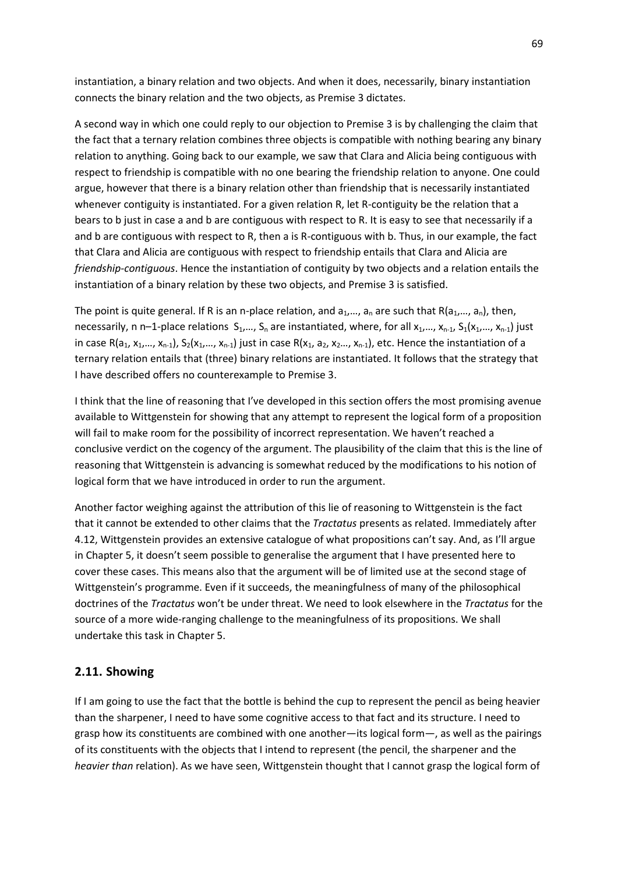instantiation, a binary relation and two objects. And when it does, necessarily, binary instantiation connects the binary relation and the two objects, as Premise 3 dictates.

A second way in which one could reply to our objection to Premise 3 is by challenging the claim that the fact that a ternary relation combines three objects is compatible with nothing bearing any binary relation to anything. Going back to our example, we saw that Clara and Alicia being contiguous with respect to friendship is compatible with no one bearing the friendship relation to anyone. One could argue, however that there is a binary relation other than friendship that is necessarily instantiated whenever contiguity is instantiated. For a given relation R, let R-contiguity be the relation that a bears to b just in case a and b are contiguous with respect to R. It is easy to see that necessarily if a and b are contiguous with respect to R, then a is R-contiguous with b. Thus, in our example, the fact that Clara and Alicia are contiguous with respect to friendship entails that Clara and Alicia are *friendship-contiguous*. Hence the instantiation of contiguity by two objects and a relation entails the instantiation of a binary relation by these two objects, and Premise 3 is satisfied.

The point is quite general. If R is an n-place relation, and  $a_1,..., a_n$  are such that  $R(a_1,..., a_n)$ , then, necessarily, n n–1-place relations  $S_1,..., S_n$  are instantiated, where, for all  $x_1,..., x_{n-1}$ ,  $S_1(x_1,..., x_{n-1})$  just in case R(a<sub>1</sub>, x<sub>1</sub>,…, x<sub>n-1</sub>), S<sub>2</sub>(x<sub>1</sub>,…, x<sub>n-1</sub>) just in case R(x<sub>1</sub>, a<sub>2</sub>, x<sub>2</sub>…, x<sub>n-1</sub>), etc. Hence the instantiation of a ternary relation entails that (three) binary relations are instantiated. It follows that the strategy that I have described offers no counterexample to Premise 3.

I think that the line of reasoning that I've developed in this section offers the most promising avenue available to Wittgenstein for showing that any attempt to represent the logical form of a proposition will fail to make room for the possibility of incorrect representation. We haven't reached a conclusive verdict on the cogency of the argument. The plausibility of the claim that this is the line of reasoning that Wittgenstein is advancing is somewhat reduced by the modifications to his notion of logical form that we have introduced in order to run the argument.

Another factor weighing against the attribution of this lie of reasoning to Wittgenstein is the fact that it cannot be extended to other claims that the *Tractatus* presents as related. Immediately after 4.12, Wittgenstein provides an extensive catalogue of what propositions can't say. And, as I'll argue in Chapter 5, it doesn't seem possible to generalise the argument that I have presented here to cover these cases. This means also that the argument will be of limited use at the second stage of Wittgenstein's programme. Even if it succeeds, the meaningfulness of many of the philosophical doctrines of the *Tractatus* won't be under threat. We need to look elsewhere in the *Tractatus* for the source of a more wide-ranging challenge to the meaningfulness of its propositions. We shall undertake this task in Chapter 5.

#### <span id="page-38-0"></span>**2.11. Showing**

If I am going to use the fact that the bottle is behind the cup to represent the pencil as being heavier than the sharpener, I need to have some cognitive access to that fact and its structure. I need to grasp how its constituents are combined with one another—its logical form—, as well as the pairings of its constituents with the objects that I intend to represent (the pencil, the sharpener and the *heavier than* relation). As we have seen, Wittgenstein thought that I cannot grasp the logical form of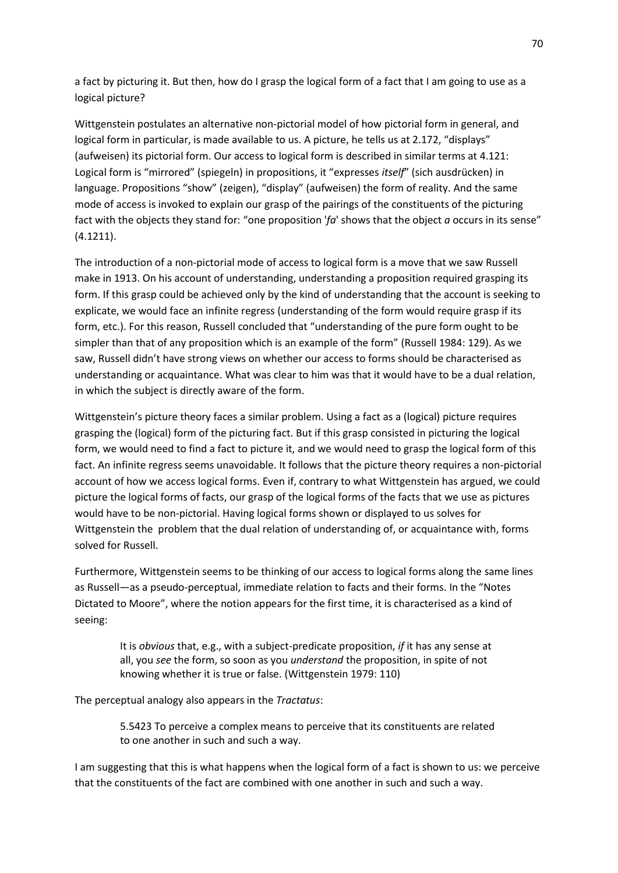a fact by picturing it. But then, how do I grasp the logical form of a fact that I am going to use as a logical picture?

Wittgenstein postulates an alternative non-pictorial model of how pictorial form in general, and logical form in particular, is made available to us. A picture, he tells us at 2.172, "displays" (aufweisen) its pictorial form. Our access to logical form is described in similar terms at 4.121: Logical form is "mirrored" (spiegeln) in propositions, it "expresses *itself*" (sich ausdrücken) in language. Propositions "show" (zeigen), "display" (aufweisen) the form of reality. And the same mode of access is invoked to explain our grasp of the pairings of the constituents of the picturing fact with the objects they stand for: "one proposition '*fa*' shows that the object *a* occurs in its sense" (4.1211).

The introduction of a non-pictorial mode of access to logical form is a move that we saw Russell make in 1913. On his account of understanding, understanding a proposition required grasping its form. If this grasp could be achieved only by the kind of understanding that the account is seeking to explicate, we would face an infinite regress (understanding of the form would require grasp if its form, etc.). For this reason, Russell concluded that "understanding of the pure form ought to be simpler than that of any proposition which is an example of the form" [\(Russell 1984: 129\)](#page--1-4). As we saw, Russell didn't have strong views on whether our access to forms should be characterised as understanding or acquaintance. What was clear to him was that it would have to be a dual relation, in which the subject is directly aware of the form.

Wittgenstein's picture theory faces a similar problem. Using a fact as a (logical) picture requires grasping the (logical) form of the picturing fact. But if this grasp consisted in picturing the logical form, we would need to find a fact to picture it, and we would need to grasp the logical form of this fact. An infinite regress seems unavoidable. It follows that the picture theory requires a non-pictorial account of how we access logical forms. Even if, contrary to what Wittgenstein has argued, we could picture the logical forms of facts, our grasp of the logical forms of the facts that we use as pictures would have to be non-pictorial. Having logical forms shown or displayed to us solves for Wittgenstein the problem that the dual relation of understanding of, or acquaintance with, forms solved for Russell.

Furthermore, Wittgenstein seems to be thinking of our access to logical forms along the same lines as Russell—as a pseudo-perceptual, immediate relation to facts and their forms. In the "Notes Dictated to Moore", where the notion appears for the first time, it is characterised as a kind of seeing:

It is *obvious* that, e.g., with a subject-predicate proposition, *if* it has any sense at all, you *see* the form, so soon as you *understand* the proposition, in spite of not knowing whether it is true or false. [\(Wittgenstein 1979: 110\)](#page--1-6)

The perceptual analogy also appears in the *Tractatus*:

5.5423 To perceive a complex means to perceive that its constituents are related to one another in such and such a way.

I am suggesting that this is what happens when the logical form of a fact is shown to us: we perceive that the constituents of the fact are combined with one another in such and such a way.